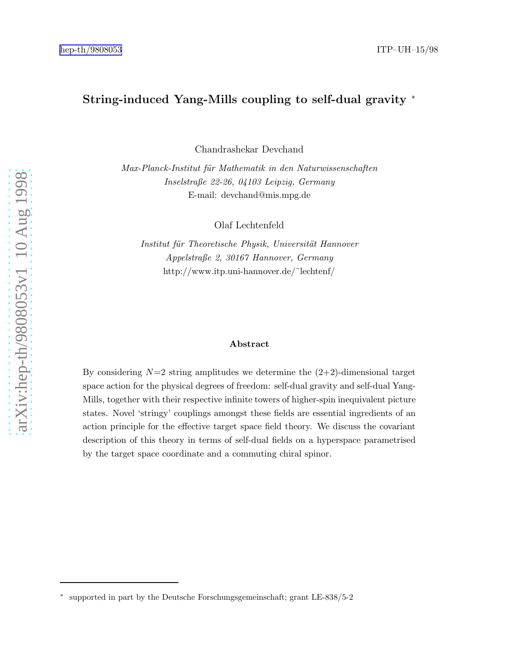# String-induced Yang-Mills coupling to self-dual gravity ∗

Chandrashekar Devchand

Max-Planck-Institut für Mathematik in den Naturwissenschaften Inselstraße 22-26, 04103 Leipzig, Germany E-mail: devchand@mis.mpg.de

Olaf Lechtenfeld

Institut für Theoretische Physik, Universität Hannover Appelstraße 2, 30167 Hannover, Germany http://www.itp.uni-hannover.de/˜lechtenf/

#### Abstract

By considering  $N=2$  string amplitudes we determine the  $(2+2)$ -dimensional target space action for the physical degrees of freedom: self-dual gravity and self-dual Yang-Mills, together with their respective infinite towers of higher-spin inequivalent picture states. Novel 'stringy' couplings amongst these fields are essential ingredients of an action principle for the effective target space field theory. We discuss the covariant description of this theory in terms of self-dual fields on a hyperspace parametrised by the target space coordinate and a commuting chiral spinor .

<sup>∗</sup> supported in part by the Deutsche Forschungsgemeinschaft; grant LE-838/5-2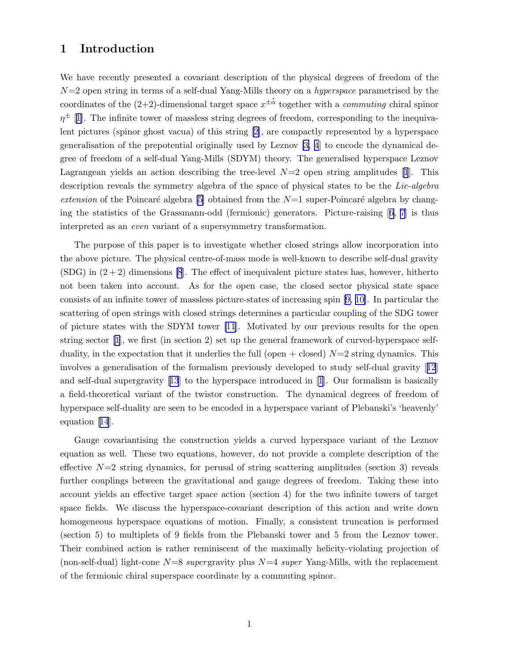# 1 Introduction

We have recently presented a covariant description of the physical degrees of freedom of the  $N=2$  open string in terms of a self-dual Yang-Mills theory on a *hyperspace* parametrised by the coordinates of the  $(2+2)$ -dimensional target space  $x^{\pm\alpha}$  together with a *commuting* chiral spinor  $\eta^{\pm}$  [[1](#page-18-0)]. The infinite tower of massless string degrees of freedom, corresponding to the inequivalent pictures (spinor ghost vacua) of this string [\[2\]](#page-18-0), are compactly represented by a hyperspace generalisation of the prepotential originally used by Leznov [\[3, 4](#page-18-0)] to encode the dynamical degree of freedom of a self-dual Yang-Mills (SDYM) theory. The generalised hyperspace Leznov Lagrangean yields an action describing the tree-level  $N=2$  open string amplitudes [\[1](#page-18-0)]. This description reveals the symmetry algebra of the space of physical states to be the Lie-algebra extension of the Poincaré algebra [\[5\]](#page-18-0) obtained from the  $N=1$  super-Poincaré algebra by changing the statistics of the Grassmann-odd (fermionic) generators. Picture-raising[[6](#page-18-0), [7](#page-18-0)] is thus interpreted as an even variant of a supersymmetry transformation.

The purpose of this paper is to investigate whether closed strings allow incorporation into the above picture. The physical centre-of-mass mode is well-known to describe self-dual gravity  $(SDG)$  in  $(2+2)$  dimensions [\[8](#page-18-0)]. The effect of inequivalent picture states has, however, hitherto not been taken into account. As for the open case, the closed sector physical state space consists of an infinite tower of massless picture-states of increasing spin [\[9,](#page-18-0) [10\]](#page-19-0). In particular the scattering of open strings with closed strings determines a particular coupling of the SDG tower of picture states with the SDYM tower [\[11](#page-19-0)]. Motivated by our previous results for the open string sector[[1](#page-18-0)], we first (in section 2) set up the general framework of curved-hyperspace selfduality, in the expectation that it underlies the full (open  $+$  closed)  $N=2$  string dynamics. This involves a generalisation of the formalism previously developed to study self-dual gravity[[12](#page-19-0)] and self-dual supergravity[[13](#page-19-0)] to the hyperspace introduced in[[1](#page-18-0)]. Our formalism is basically a field-theoretical variant of the twistor construction. The dynamical degrees of freedom of hyperspace self-duality are seen to be encoded in a hyperspace variant of Plebanski's 'heavenly' equation[[14](#page-19-0)].

Gauge covariantising the construction yields a curved hyperspace variant of the Leznov equation as well. These two equations, however, do not provide a complete description of the effective  $N=2$  string dynamics, for perusal of string scattering amplitudes (section 3) reveals further couplings between the gravitational and gauge degrees of freedom. Taking these into account yields an effective target space action (section 4) for the two infinite towers of target space fields. We discuss the hyperspace-covariant description of this action and write down homogeneous hyperspace equations of motion. Finally, a consistent truncation is performed (section 5) to multiplets of 9 fields from the Plebanski tower and 5 from the Leznov tower. Their combined action is rather reminiscent of the maximally helicity-violating projection of (non-self-dual) light-cone  $N=8$  supergravity plus  $N=4$  super Yang-Mills, with the replacement of the fermionic chiral superspace coordinate by a commuting spinor.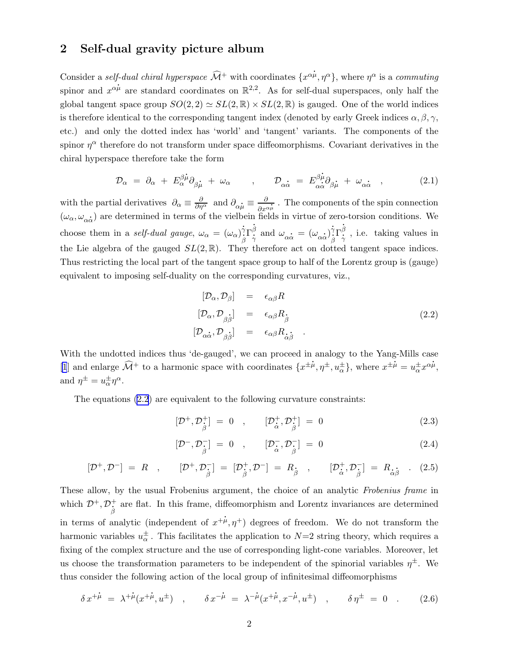### <span id="page-2-0"></span>2 Self-dual gravity picture album

Consider a self-dual chiral hyperspace  $\widehat{\mathcal{M}}^+$  with coordinates  $\{x^{\alpha\dot{\mu}}, \eta^{\alpha}\}$ , where  $\eta^{\alpha}$  is a commuting spinor and  $x^{\alpha\mu}$  are standard coordinates on  $\mathbb{R}^{2,2}$ . As for self-dual superspaces, only half the global tangent space group  $SO(2, 2) \simeq SL(2, \mathbb{R}) \times SL(2, \mathbb{R})$  is gauged. One of the world indices is therefore identical to the corresponding tangent index (denoted by early Greek indices  $\alpha, \beta, \gamma$ , etc.) and only the dotted index has 'world' and 'tangent' variants. The components of the spinor  $\eta^{\alpha}$  therefore do not transform under space diffeomorphisms. Covariant derivatives in the chiral hyperspace therefore take the form . .

$$
\mathcal{D}_{\alpha} = \partial_{\alpha} + E^{\beta \dot{\mu}}_{\alpha} \partial_{\beta \dot{\mu}} + \omega_{\alpha} \qquad , \qquad \mathcal{D}_{\alpha \dot{\alpha}} = E^{\beta \dot{\mu}}_{\alpha \dot{\alpha}} \partial_{\beta \dot{\mu}} + \omega_{\alpha \dot{\alpha}} \qquad , \tag{2.1}
$$

with the partial derivatives  $\partial_{\alpha} \equiv \frac{\partial}{\partial \eta^{\alpha}}$  and  $\partial_{\alpha} \dot{\mu} \equiv \frac{\partial}{\partial \eta^{\alpha}}$  $\partial x^{\alpha}$  $\frac{1}{\mu}$ . The components of the spin connection ( $\omega_{\alpha}, \omega_{\alpha\dot{\alpha}}$ ) are determined in terms of the vielbein fields in virtue of zero-torsion conditions. We  $\cdots$ choose them in a *self-dual gauge*,  $\omega_{\alpha} = (\omega_{\alpha})^{\gamma}_{\alpha}$  $\dot{\gamma}_{\beta} \Gamma^{\dot{\beta}}_{\dot{\gamma}}$  and  $\omega_{\alpha\dot{\alpha}} = (\omega_{\alpha\dot{\alpha}})^{\dot{\gamma}}_{\dot{\beta}}$  $\dot{\gamma}_{\beta} \Gamma^{\dot{\beta}}_{\dot{\gamma}}$ , i.e. taking values in the Lie algebra of the gauged  $SL(2,\mathbb{R})$ . They therefore act on dotted tangent space indices. Thus restricting the local part of the tangent space group to half of the Lorentz group is (gauge) equivalent to imposing self-duality on the corresponding curvatures, viz.,

$$
[\mathcal{D}_{\alpha}, \mathcal{D}_{\beta}] = \epsilon_{\alpha\beta} R
$$
  
\n
$$
[\mathcal{D}_{\alpha}, \mathcal{D}_{\beta\dot{\beta}}] = \epsilon_{\alpha\beta} R_{\dot{\beta}}
$$
  
\n
$$
[\mathcal{D}_{\alpha\dot{\alpha}}, \mathcal{D}_{\beta\dot{\beta}}] = \epsilon_{\alpha\beta} R_{\dot{\alpha}\dot{\beta}}
$$
\n(2.2)

With the undotted indices thus 'de-gauged', we can proceed in analogy to the Yang-Mills case [\[1](#page-18-0)] and enlarge  $\widehat{\mathcal{M}}^+$  to a harmonic space with coordinates  $\{x^{\pm \mu}, \eta^{\pm}, u^{\pm}_{\alpha}\}\,$ , where  $x^{\pm \mu} = u^{\pm}_{\alpha} x^{\alpha \mu}$ , and  $\eta^{\pm} = u_{\alpha}^{\pm} \eta^{\alpha}$ .

The equations (2.2) are equivalent to the following curvature constraints:

$$
[\mathcal{D}^+,\mathcal{D}^+_{\dot{\beta}}] = 0 \quad , \qquad [\mathcal{D}^+_{\dot{\alpha}},\mathcal{D}^+_{\dot{\beta}}] = 0 \tag{2.3}
$$

$$
[\mathcal{D}^{-}, \mathcal{D}_{\stackrel{\rightharpoonup}{\beta}}^{-}] = 0 \quad , \qquad [\mathcal{D}_{\stackrel{\rightharpoonup}{\alpha}}^{-}, \mathcal{D}_{\stackrel{\rightharpoonup}{\beta}}^{-}] = 0 \tag{2.4}
$$

$$
[\mathcal{D}^+,\mathcal{D}^-] = R \ , \qquad [\mathcal{D}^+,\mathcal{D}^-_{\hat{\beta}}] = [\mathcal{D}^+_{\hat{\beta}},\mathcal{D}^-] = R_{\hat{\beta}} \ , \qquad [\mathcal{D}^+_{\hat{\alpha}},\mathcal{D}^-_{\hat{\beta}}] = R_{\hat{\alpha}\hat{\beta}} \ . \tag{2.5}
$$

These allow, by the usual Frobenius argument, the choice of an analytic Frobenius frame in which  $\mathcal{D}^+, \mathcal{D}^+_{\overset{\circ}{\beta}}$ <sup>+</sup> are flat. In this frame, diffeomorphism and Lorentz invariances are determined  $\beta$ in terms of analytic (independent of  $x^{+\mu}, \eta^{+}$ ) degrees of freedom. We do not transform the harmonic variables  $u_{\alpha}^{\pm}$ . This facilitates the application to  $N=2$  string theory, which requires a fixing of the complex structure and the use of corresponding light-cone variables. Moreover, let us choose the transformation parameters to be independent of the spinorial variables  $\eta^{\pm}$ . We thus consider the following action of the local group of infinitesimal diffeomorphisms

$$
\delta x^{+\dot{\mu}} = \lambda^{+\dot{\mu}}(x^{+\dot{\mu}}, u^{\pm}) \quad , \qquad \delta x^{-\dot{\mu}} = \lambda^{-\dot{\mu}}(x^{+\dot{\mu}}, x^{-\dot{\mu}}, u^{\pm}) \quad , \qquad \delta \eta^{\pm} = 0 \quad . \tag{2.6}
$$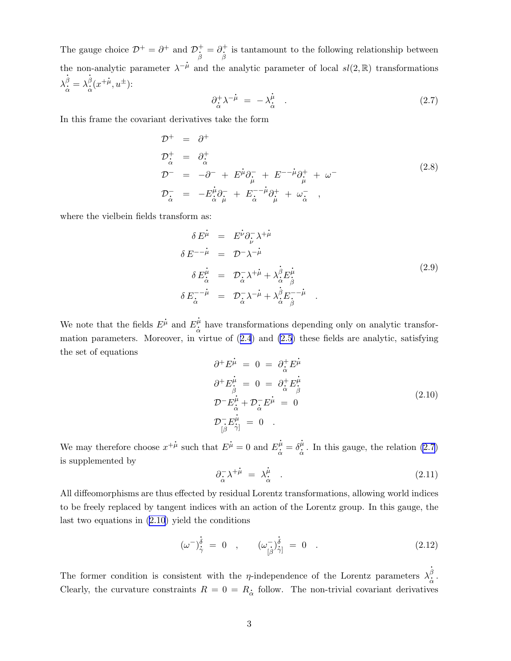<span id="page-3-0"></span>The gauge choice  $\mathcal{D}^+ = \partial^+$  and  $\mathcal{D}^+_{\dot{\mathcal{B}}}$  $\frac{1}{\beta} = \partial_{\dot{\beta}}^{+}$  $\partial_t^{\mathcal{H}} = \partial_{\beta}^{\mathcal{H}}$  is tantamount to the following relationship between the non-analytic parameter  $\lambda^{-\mu}$  and the analytic parameter of local  $sl(2,\mathbb{R})$  transformations  $\lambda^{\dot{\beta}}_{\dot{\alpha}} = \lambda^{\dot{\beta}}_{\dot{\alpha}}(x^{+\dot{\mu}}, u^{\pm})$ : . .

$$
\partial_{\dot{\alpha}}^{+} \lambda^{-\dot{\mu}} = -\lambda_{\dot{\alpha}}^{\dot{\mu}} \quad . \tag{2.7}
$$

In this frame the covariant derivatives take the form

$$
\mathcal{D}^{+} = \partial^{+}
$$
\n
$$
\mathcal{D}^{+}_{\dot{\alpha}} = \partial^{+}_{\dot{\alpha}}
$$
\n
$$
\mathcal{D}^{-} = -\partial^{-} + E^{\mu}\partial^{-}_{\mu} + E^{--\mu}\partial^{+}_{\mu} + \omega^{-}
$$
\n
$$
\mathcal{D}^{-}_{\dot{\alpha}} = -E^{\mu}_{\dot{\alpha}}\partial^{-}_{\mu} + E^{--\mu}_{\dot{\alpha}}\partial^{+}_{\mu} + \omega^{-}_{\dot{\alpha}} ,
$$
\n(2.8)

where the vielbein fields transform as: .

$$
\delta E^{\mu} = E^{\nu} \partial_{\nu}^{-} \lambda^{+\mu}
$$
\n
$$
\delta E^{-\mu} = \mathcal{D}^{-} \lambda^{-\mu}
$$
\n
$$
\delta E^{\mu}_{\dot{\alpha}} = \mathcal{D}^{-} \lambda^{+\mu} + \lambda^{\dot{\beta}}_{\dot{\alpha}} E^{\mu}_{\dot{\beta}}
$$
\n
$$
\delta E^{-\mu}_{\dot{\alpha}} = \mathcal{D}^{-} \lambda^{+\mu} + \lambda^{\dot{\beta}}_{\dot{\alpha}} E^{\mu}_{\dot{\beta}}
$$
\n
$$
\delta E^{-\mu}_{\dot{\alpha}} = \mathcal{D}^{-} \lambda^{-\mu} + \lambda^{\dot{\beta}}_{\dot{\alpha}} E^{-\mu}_{\dot{\beta}}
$$
\n(2.9)

We note that the fields  $E$ .  $\mu$  and E  $\frac{\dot{\mu}}{\dot{\alpha}}$  have transformations depending only on analytic transformation parameters. Moreover, in virtue of([2.4](#page-2-0)) and [\(2.5](#page-2-0)) these fields are analytic, satisfying the set of equations . .

$$
\partial^+ E^{\mu}_{\ \beta} = 0 = \partial^+_{\dot{\alpha}} E^{\mu}_{\beta}
$$
  
\n
$$
\partial^+ E^{\mu}_{\beta} = 0 = \partial^+_{\dot{\alpha}} E^{\mu}_{\beta}
$$
  
\n
$$
\mathcal{D}^- E^{\mu}_{\dot{\alpha}} + \mathcal{D}^-_{\dot{\alpha}} E^{\mu}_{\ \beta} = 0
$$
  
\n
$$
\mathcal{D}^-_{[\beta} E^{\mu}_{\dot{\gamma}]} = 0
$$
 (2.10)

We may therefore choose  $x^{+\hat{\mu}}$  such that E  $\mu = 0$  and E  $\frac{\dot{\mu}}{\dot{\alpha}} = \delta$  $\frac{\dot{\mu}}{\dot{\alpha}}$  . In this gauge, the relation (2.7) is supplemented by . .

$$
\partial_{\dot{\alpha}}^{-} \lambda^{+\dot{\mu}} = \lambda_{\dot{\alpha}}^{\dot{\mu}} \quad . \tag{2.11}
$$

All diffeomorphisms are thus effected by residual Lorentz transformations, allowing world indices to be freely replaced by tangent indices with an action of the Lorentz group. In this gauge, the last two equations in (2.10) yield the conditions

$$
(\omega^{-})^{\dot{\delta}}_{\dot{\gamma}} = 0 \quad , \qquad (\omega^{-}_{[\dot{\beta}})^{\dot{\delta}}_{\dot{\gamma}]} = 0 \quad . \tag{2.12}
$$

The former condition is consistent with the *η*-independence of the Lorentz parameters  $\lambda_{\dot{\alpha}}^{\dot{\beta}}$ . Clearly, the curvature constraints  $R = 0 = R_{\dot{\alpha}}$  follow. The non-trivial covariant derivatives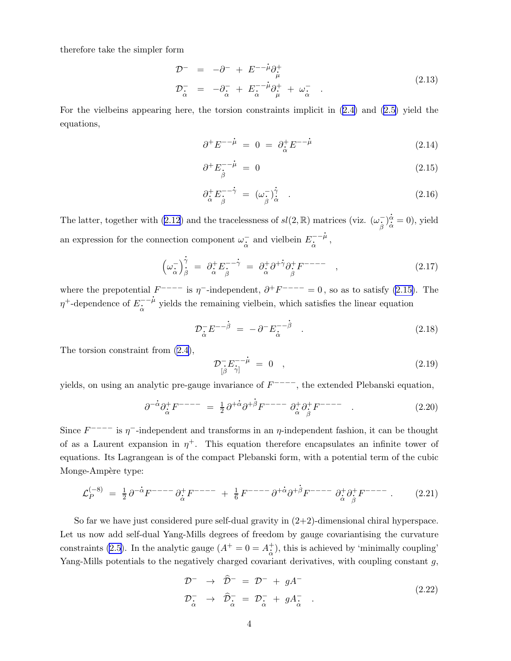<span id="page-4-0"></span>therefore take the simpler form

$$
\mathcal{D}^{-} = -\partial^{-} + E^{-} \dot{\mathcal{D}}_{\dot{\mu}}^{+}
$$
\n
$$
\mathcal{D}_{\dot{\alpha}}^{-} = -\partial_{\dot{\alpha}}^{-} + E_{\dot{\alpha}}^{-} \dot{\mathcal{D}}_{\dot{\mu}}^{+} + \omega_{\dot{\alpha}}^{-} \qquad (2.13)
$$

For the vielbeins appearing here, the torsion constraints implicit in([2.4\)](#page-2-0) and [\(2.5\)](#page-2-0) yield the equations, . .

$$
\partial^+ E^{--\dot{\mu}} = 0 = \partial^+_{\dot{\alpha}} E^{--\dot{\mu}} \tag{2.14}
$$

$$
\partial^+ E^{-\cdot \hat{\mu}}_{\hat{\beta}} = 0 \tag{2.15}
$$

$$
\partial_{\dot{\alpha}}^{+} E_{\dot{\beta}}^{- - \dot{\gamma}} = (\omega_{\dot{\beta}}^{-})^{\dot{\gamma}}_{\dot{\alpha}} \quad . \tag{2.16}
$$

Thelatter, together with ([2.12](#page-3-0)) and the tracelessness of  $sl(2,\mathbb{R})$  matrices (viz.  $(\omega)$ .  $\bar{\hat{\beta}}^{\,})$ ttrices (viz.  $(\omega, \hat{\beta})^{\dot{\alpha}}_{\dot{\alpha}} = 0$ ), yield an expression for the connection component  $\omega_{\alpha}^-$  and vielbein  $E_{\dot{\alpha}}^{--\dot{\mu}}$ ,

$$
\left(\omega_{\dot{\alpha}}^{-}\right)^{\dot{\gamma}}_{\dot{\beta}} = \partial_{\dot{\alpha}}^{+} E_{\dot{\beta}}^{-\dot{\gamma}} = \partial_{\dot{\alpha}}^{+} \partial^{+} \partial_{\dot{\beta}}^{+} F^{---} , \qquad (2.17)
$$

where the prepotential  $F^{---}$  is  $\eta^-$ -independent,  $\partial^+ F^{---} = 0$ , so as to satisfy (2.15). The  $\eta^+$ -dependence of  $E_{\dot{\alpha}}^{--\dot{\mu}}$  yields the remaining vielbein, which satisfies the linear equation

$$
\mathcal{D}_{\dot{\alpha}}^{-} E^{-\dot{\beta}} = -\partial^{-} E_{\dot{\alpha}}^{-\dot{\beta}} \tag{2.18}
$$

The torsion constraint from [\(2.4\)](#page-2-0),

$$
\mathcal{D}_{\left[\beta\right]}^{-}E_{\left[\gamma\right]}^{--\mu} = 0 \quad , \tag{2.19}
$$

yields, on using an analytic pre-gauge invariance of  $F^{---}$ , the extended Plebanski equation,

$$
\partial^{-\dot{\alpha}} \partial_{\dot{\alpha}}^{+} F^{---} = \frac{1}{2} \partial^{+\dot{\alpha}} \partial^{+\dot{\beta}} F^{---} \partial_{\dot{\alpha}}^{+} \partial_{\dot{\beta}}^{+} F^{---} \qquad . \tag{2.20}
$$

Since  $F^{---}$  is  $\eta^-$ -independent and transforms in an  $\eta$ -independent fashion, it can be thought of as a Laurent expansion in  $\eta^+$ . This equation therefore encapsulates an infinite tower of equations. Its Lagrangean is of the compact Plebanski form, with a potential term of the cubic Monge-Ampère type: .

$$
\mathcal{L}_P^{(-8)} = \frac{1}{2} \partial^{-\alpha} F^{---} \partial_{\dot{\alpha}}^+ F^{---} + \frac{1}{6} F^{---} \partial^{+\dot{\alpha}} \partial^{+\dot{\beta}} F^{---} \partial_{\dot{\alpha}}^+ \partial_{\dot{\beta}}^+ F^{---} \,. \tag{2.21}
$$

So far we have just considered pure self-dual gravity in  $(2+2)$ -dimensional chiral hyperspace. Let us now add self-dual Yang-Mills degrees of freedom by gauge covariantising the curvature constraints [\(2.5](#page-2-0)). In the analytic gauge  $(A^+ = 0 = A^+_{\alpha})$ , this is achieved by 'minimally coupling' Yang-Mills potentials to the negatively charged covariant derivatives, with coupling constant  $g$ ,

$$
\mathcal{D}^- \rightarrow \hat{\mathcal{D}}^- = \mathcal{D}^- + gA^-
$$
\n
$$
\mathcal{D}^-_{\alpha} \rightarrow \hat{\mathcal{D}}^-_{\alpha} = \mathcal{D}^-_{\alpha} + gA^-_{\alpha} .
$$
\n(2.22)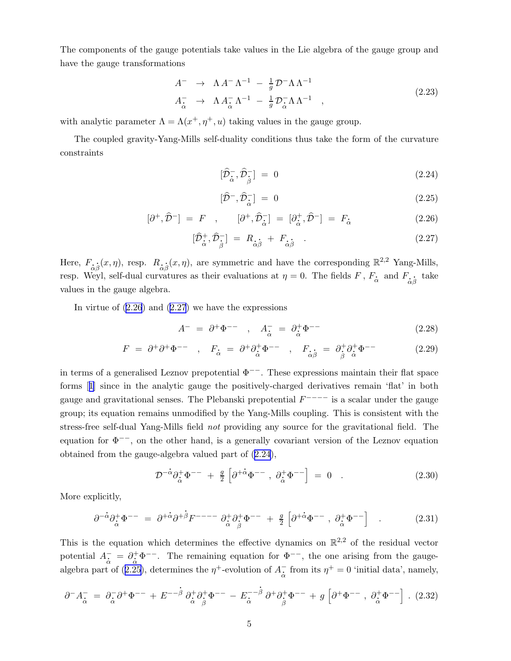<span id="page-5-0"></span>The components of the gauge potentials take values in the Lie algebra of the gauge group and have the gauge transformations

$$
A^{-} \rightarrow \Lambda A^{-} \Lambda^{-1} - \frac{1}{g} \mathcal{D}^{-} \Lambda \Lambda^{-1}
$$
  
\n
$$
A^{-}_{\dot{\alpha}} \rightarrow \Lambda A^{-}_{\dot{\alpha}} \Lambda^{-1} - \frac{1}{g} \mathcal{D}^{-}_{\dot{\alpha}} \Lambda \Lambda^{-1} , \qquad (2.23)
$$

with analytic parameter  $\Lambda = \Lambda(x^+, \eta^+, u)$  taking values in the gauge group.

The coupled gravity-Yang-Mills self-duality conditions thus take the form of the curvature constraints

$$
[\hat{\mathcal{D}}_{\dot{\alpha}}^{-}, \hat{\mathcal{D}}_{\dot{\beta}}^{-}] = 0 \tag{2.24}
$$

$$
[\widehat{\mathcal{D}}^{-}, \widehat{\mathcal{D}}_{\widehat{\alpha}}^{-}] = 0 \tag{2.25}
$$

$$
[\partial^+,\widehat{\mathcal{D}}^-] = F \ , \qquad [\partial^+,\widehat{\mathcal{D}}_{\dot{\alpha}}^-] = [\partial^+_{\dot{\alpha}},\widehat{\mathcal{D}}^-] = F_{\dot{\alpha}} \tag{2.26}
$$

$$
[\hat{\mathcal{D}}_{\dot{\alpha}}^{+}, \hat{\mathcal{D}}_{\dot{\beta}}^{-}] = R_{\dot{\alpha}\dot{\beta}} + F_{\dot{\alpha}\dot{\beta}} \quad . \tag{2.27}
$$

Here,  $F_{\dot{\alpha}}$ .  $\frac{1}{\beta}(x,\eta)$ , resp.  $R_{\frac{1}{\alpha}}$ .  $\hat{\beta}(x,\eta)$ , are symmetric and have the corresponding  $\mathbb{R}^{2,2}$  Yang-Mills,<br>atures as their evaluations at  $n=0$ . The fields  $F$ ,  $F$ , and  $F$ , take resp. Weyl, self-dual curvatures as their evaluations at  $\eta = 0$ . The fields  $F$ ,  $F_{\dot{\alpha}}$  and  $F_{\dot{\alpha}\dot{\beta}}$  take values in the gauge algebra.

In virtue of  $(2.26)$  and  $(2.27)$  we have the expressions

$$
A^- = \partial^+ \Phi^{--} \quad , \quad A^-_{\dot{\alpha}} = \partial^+_{\dot{\alpha}} \Phi^{--} \tag{2.28}
$$

$$
F = \partial^+ \partial^+ \Phi^{--} \quad , \quad F_{\dot{\alpha}} = \partial^+ \partial^+_{\dot{\alpha}} \Phi^{--} \quad , \quad F_{\dot{\alpha}\dot{\beta}} = \partial^+_{\dot{\beta}} \partial^+_{\dot{\alpha}} \Phi^{--} \tag{2.29}
$$

in terms of a generalised Leznov prepotential  $\Phi^{--}$ . These expressions maintain their flat space forms[[1\]](#page-18-0) since in the analytic gauge the positively-charged derivatives remain 'flat' in both gauge and gravitational senses. The Plebanski prepotential  $F^{---}$  is a scalar under the gauge group; its equation remains unmodified by the Yang-Mills coupling. This is consistent with the stress-free self-dual Yang-Mills field not providing any source for the gravitational field. The equation for  $\Phi^{-}$ , on the other hand, is a generally covariant version of the Leznov equation obtained from the gauge-algebra valued part of (2.24), . .

$$
\mathcal{D}^{-\alpha}\partial_{\dot{\alpha}}^{+}\Phi^{--} + \frac{g}{2} \left[ \partial^{+\dot{\alpha}}\Phi^{--} , \ \partial_{\dot{\alpha}}^{+}\Phi^{--} \right] = 0 . \qquad (2.30)
$$

More explicitly,

$$
\partial^{-\dot{\alpha}} \partial_{\dot{\alpha}}^{+} \Phi^{-} = \partial^{+\dot{\alpha}} \partial^{+\dot{\beta}} F^{-} \Psi^{-} \partial_{\dot{\alpha}}^{+} \partial_{\dot{\beta}}^{+} \Phi^{-} + \frac{g}{2} \left[ \partial^{+\dot{\alpha}} \Phi^{-} , \partial_{\dot{\alpha}}^{+} \Phi^{-} \right] . \tag{2.31}
$$

This is the equation which determines the effective dynamics on  $\mathbb{R}^{2,2}$  of the residual vector potential  $A_{\alpha}^- = \partial_{\alpha}^+ \Phi^{--}$ . The remaining equation for  $\Phi^{--}$ , the one arising from the gaugealgebra part of (2.25), determines the  $\eta^+$ -evolution of  $A_{\alpha}^-$  from its  $\eta^+ = 0$  'initial data', namely, . .

$$
\partial^- A^-_{\dot{\alpha}} = \partial^-_{\dot{\alpha}} \partial^+ \Phi^{--} + E^{-\dot{\beta}} \partial^+_{\dot{\alpha}} \partial^+_{\dot{\beta}} \Phi^{--} - E^{-\dot{\beta}}_{\dot{\alpha}} \partial^+ \partial^+_{\dot{\beta}} \Phi^{--} + g \left[ \partial^+ \Phi^{--} , \partial^+_{\dot{\alpha}} \Phi^{--} \right] . (2.32)
$$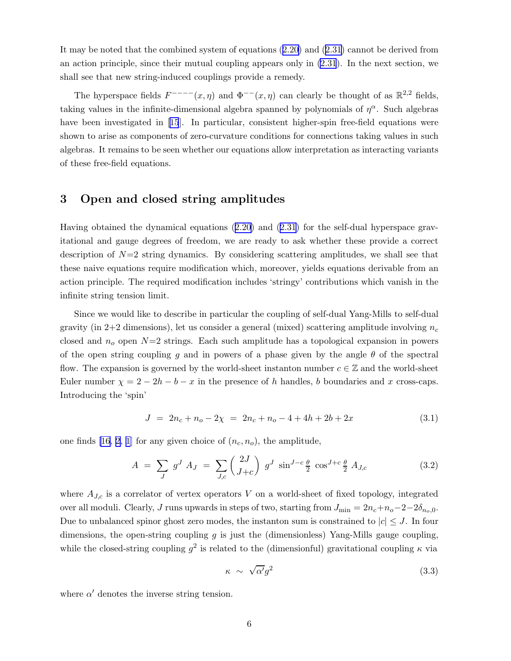It may be noted that the combined system of equations([2.20\)](#page-4-0) and [\(2.31](#page-5-0)) cannot be derived from an action principle, since their mutual coupling appears only in [\(2.31](#page-5-0)). In the next section, we shall see that new string-induced couplings provide a remedy.

The hyperspace fields  $F^{---}(x, \eta)$  and  $\Phi^{---}(x, \eta)$  can clearly be thought of as  $\mathbb{R}^{2,2}$  fields, taking values in the infinite-dimensional algebra spanned by polynomials of  $\eta^{\alpha}$ . Such algebras havebeen investigated in [[15](#page-19-0)]. In particular, consistent higher-spin free-field equations were shown to arise as components of zero-curvature conditions for connections taking values in such algebras. It remains to be seen whether our equations allow interpretation as interacting variants of these free-field equations.

# 3 Open and closed string amplitudes

Having obtained the dynamical equations([2.20\)](#page-4-0) and([2.31\)](#page-5-0) for the self-dual hyperspace gravitational and gauge degrees of freedom, we are ready to ask whether these provide a correct description of  $N=2$  string dynamics. By considering scattering amplitudes, we shall see that these naive equations require modification which, moreover, yields equations derivable from an action principle. The required modification includes 'stringy' contributions which vanish in the infinite string tension limit.

Since we would like to describe in particular the coupling of self-dual Yang-Mills to self-dual gravity (in 2+2 dimensions), let us consider a general (mixed) scattering amplitude involving  $n_c$ closed and  $n<sub>o</sub>$  open  $N=2$  strings. Each such amplitude has a topological expansion in powers of the open string coupling q and in powers of a phase given by the angle  $\theta$  of the spectral flow. The expansion is governed by the world-sheet instanton number  $c \in \mathbb{Z}$  and the world-sheet Euler number  $\chi = 2 - 2h - b - x$  in the presence of h handles, b boundaries and x cross-caps. Introducing the 'spin'

$$
J = 2n_c + n_o - 2\chi = 2n_c + n_o - 4 + 4h + 2b + 2x \tag{3.1}
$$

one finds [\[16](#page-19-0), [2](#page-18-0), [1](#page-18-0)] for any given choice of  $(n_c, n_o)$ , the amplitude,

$$
A = \sum_{J} g^{J} A_{J} = \sum_{J,c} \binom{2J}{J+c} g^{J} \sin^{J-c} \frac{\theta}{2} \cos^{J+c} \frac{\theta}{2} A_{J,c}
$$
(3.2)

where  $A_{J,c}$  is a correlator of vertex operators V on a world-sheet of fixed topology, integrated over all moduli. Clearly, J runs upwards in steps of two, starting from  $J_{\min} = 2n_c + n_o - 2 - 2\delta_{n_o,0}$ . Due to unbalanced spinor ghost zero modes, the instanton sum is constrained to  $|c| \leq J$ . In four dimensions, the open-string coupling g is just the (dimensionless) Yang-Mills gauge coupling, while the closed-string coupling  $g^2$  is related to the (dimensionful) gravitational coupling  $\kappa$  via

$$
\kappa \sim \sqrt{\alpha'}g^2 \tag{3.3}
$$

where  $\alpha'$  denotes the inverse string tension.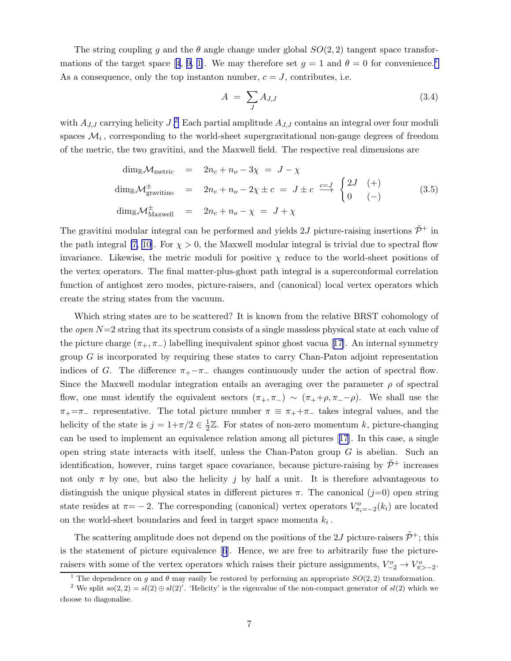<span id="page-7-0"></span>The string coupling g and the  $\theta$  angle change under global  $SO(2, 2)$  tangent space transfor-mationsof the target space [[4](#page-18-0), [9](#page-18-0), [1\]](#page-18-0). We may therefore set  $g = 1$  and  $\theta = 0$  for convenience. As a consequence, only the top instanton number,  $c = J$ , contributes, i.e.

$$
A = \sum_{J} A_{J,J} \tag{3.4}
$$

with  $A_{J,J}$  carrying helicity  $J$ .<sup>2</sup> Each partial amplitude  $A_{J,J}$  contains an integral over four moduli spaces  $\mathcal{M}_i$ , corresponding to the world-sheet supergravitational non-gauge degrees of freedom of the metric, the two gravitini, and the Maxwell field. The respective real dimensions are

$$
\dim_{\mathbb{R}} \mathcal{M}_{\text{metric}} = 2n_c + n_o - 3\chi = J - \chi
$$
  
\n
$$
\dim_{\mathbb{R}} \mathcal{M}_{\text{gravitino}}^{\pm} = 2n_c + n_o - 2\chi \pm c = J \pm c \stackrel{c=J}{\longrightarrow} \begin{cases} 2J & (+) \\ 0 & (-) \end{cases}
$$
\n
$$
\dim_{\mathbb{R}} \mathcal{M}_{\text{Maxwell}}^{\pm} = 2n_c + n_o - \chi = J + \chi
$$
\n(3.5)

The gravitini modular integral can be performed and yields 2J picture-raising insertions  $\tilde{\mathcal{P}}^+$  in the path integral [\[7,](#page-18-0) [10](#page-19-0)]. For  $\chi > 0$ , the Maxwell modular integral is trivial due to spectral flow invariance. Likewise, the metric moduli for positive  $\chi$  reduce to the world-sheet positions of the vertex operators. The final matter-plus-ghost path integral is a superconformal correlation function of antighost zero modes, picture-raisers, and (canonical) local vertex operators which create the string states from the vacuum.

Which string states are to be scattered? It is known from the relative BRST cohomology of the *open*  $N=2$  string that its spectrum consists of a single massless physical state at each value of thepicture charge  $(\pi_+, \pi_-)$  labelling inequivalent spinor ghost vacua [[17\]](#page-19-0). An internal symmetry group  $G$  is incorporated by requiring these states to carry Chan-Paton adjoint representation indices of G. The difference  $\pi_+-\pi_-$  changes continuously under the action of spectral flow. Since the Maxwell modular integration entails an averaging over the parameter  $\rho$  of spectral flow, one must identify the equivalent sectors  $(\pi_+, \pi_-) \sim (\pi_+ + \rho, \pi_- - \rho)$ . We shall use the  $\pi_+=\pi_-$  representative. The total picture number  $\pi \equiv \pi_+ + \pi_-$  takes integral values, and the helicity of the state is  $j = 1 + \pi/2 \in \frac{1}{2}$  $\frac{1}{2}\mathbb{Z}$ . For states of non-zero momentum k, picture-changing can be used to implement an equivalence relation among all pictures[[17](#page-19-0)]. In this case, a single open string state interacts with itself, unless the Chan-Paton group  $G$  is abelian. Such an identification, however, ruins target space covariance, because picture-raising by  $\tilde{\mathcal{P}}^+$  increases not only  $\pi$  by one, but also the helicity j by half a unit. It is therefore advantageous to distinguish the unique physical states in different pictures  $\pi$ . The canonical  $(j=0)$  open string state resides at  $\pi = -2$ . The corresponding (canonical) vertex operators  $V_{\pi_i=-2}^o(k_i)$  are located on the world-sheet boundaries and feed in target space momenta  $k_i$ .

The scattering amplitude does not depend on the positions of the 2J picture-raisers  $\tilde{\mathcal{P}}^+$ ; this is the statement of picture equivalence[[6](#page-18-0)]. Hence, we are free to arbitrarily fuse the pictureraisers with some of the vertex operators which raises their picture assignments,  $V_{-2}^{o} \rightarrow V_{\pi>-2}^{o}$ .

<sup>&</sup>lt;sup>1</sup> The dependence on g and  $\theta$  may easily be restored by performing an appropriate  $SO(2, 2)$  transformation.

<sup>&</sup>lt;sup>2</sup> We split  $so(2, 2) = sl(2) \oplus sl(2)'$ . 'Helicity' is the eigenvalue of the non-compact generator of  $sl(2)$  which we choose to diagonalise.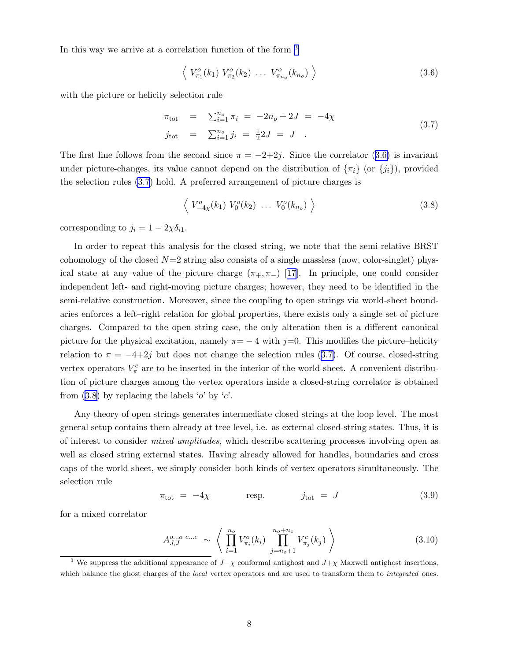<span id="page-8-0"></span>In this way we arrive at a correlation function of the form <sup>3</sup>

$$
\left\langle V_{\pi_1}^o(k_1) V_{\pi_2}^o(k_2) \ldots V_{\pi_{n_o}}^o(k_{n_o}) \right\rangle \tag{3.6}
$$

with the picture or helicity selection rule

$$
\pi_{\text{tot}} = \sum_{i=1}^{n_o} \pi_i = -2n_o + 2J = -4\chi
$$
  
\n
$$
j_{\text{tot}} = \sum_{i=1}^{n_o} j_i = \frac{1}{2}2J = J .
$$
\n(3.7)

The first line follows from the second since  $\pi = -2+2j$ . Since the correlator (3.6) is invariant under picture-changes, its value cannot depend on the distribution of  $\{\pi_i\}$  (or  $\{j_i\}$ ), provided the selection rules (3.7) hold. A preferred arrangement of picture charges is

$$
\left\langle V_{-4\chi}^{o}(k_1) V_0^{o}(k_2) \ldots V_0^{o}(k_{n_o}) \right\rangle \tag{3.8}
$$

corresponding to  $j_i = 1 - 2\chi \delta_{i1}$ .

In order to repeat this analysis for the closed string, we note that the semi-relative BRST cohomology of the closed  $N=2$  string also consists of a single massless (now, color-singlet) physicalstate at any value of the picture charge  $(\pi_+,\pi_-)$  [[17\]](#page-19-0). In principle, one could consider independent left- and right-moving picture charges; however, they need to be identified in the semi-relative construction. Moreover, since the coupling to open strings via world-sheet boundaries enforces a left–right relation for global properties, there exists only a single set of picture charges. Compared to the open string case, the only alteration then is a different canonical picture for the physical excitation, namely  $\pi = -4$  with j=0. This modifies the picture–helicity relation to  $\pi = -4+2j$  but does not change the selection rules (3.7). Of course, closed-string vertex operators  $V_{\pi}^c$  are to be inserted in the interior of the world-sheet. A convenient distribution of picture charges among the vertex operators inside a closed-string correlator is obtained from  $(3.8)$  by replacing the labels 'o' by 'c'.

Any theory of open strings generates intermediate closed strings at the loop level. The most general setup contains them already at tree level, i.e. as external closed-string states. Thus, it is of interest to consider mixed amplitudes, which describe scattering processes involving open as well as closed string external states. Having already allowed for handles, boundaries and cross caps of the world sheet, we simply consider both kinds of vertex operators simultaneously. The selection rule

$$
\pi_{\text{tot}} = -4\chi \qquad \text{resp.} \qquad j_{\text{tot}} = J \tag{3.9}
$$

for a mixed correlator

$$
A_{J,J}^{o...o \ c...c} \sim \left\langle \prod_{i=1}^{n_o} V_{\pi_i}^o(k_i) \prod_{j=n_o+1}^{n_o+n_c} V_{\pi_j}^c(k_j) \right\rangle \tag{3.10}
$$

<sup>&</sup>lt;sup>3</sup> We suppress the additional appearance of  $J-\chi$  conformal antighost and  $J+\chi$  Maxwell antighost insertions, which balance the ghost charges of the local vertex operators and are used to transform them to integrated ones.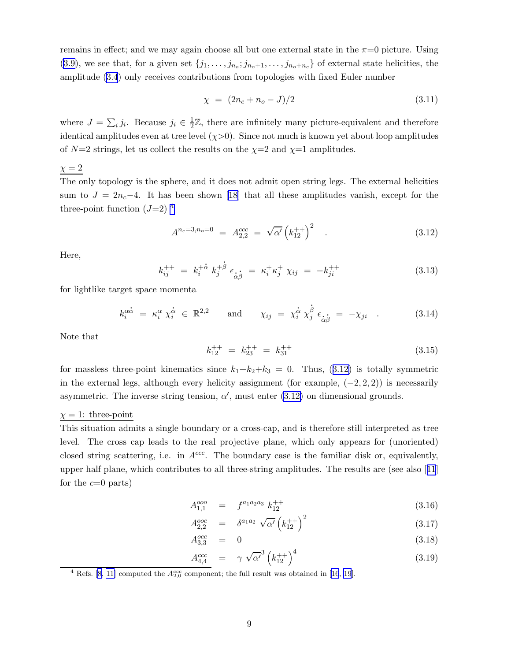<span id="page-9-0"></span>remains in effect; and we may again choose all but one external state in the  $\pi=0$  picture. Using [\(3.9](#page-8-0)), we see that, for a given set  $\{j_1, \ldots, j_{n_o}; j_{n_o+1}, \ldots, j_{n_o+n_c}\}$  of external state helicities, the amplitude([3.4](#page-7-0)) only receives contributions from topologies with fixed Euler number

$$
\chi = (2n_c + n_o - J)/2 \tag{3.11}
$$

where  $J = \sum_i j_i$ . Because  $j_i \in \frac{1}{2}$  $\frac{1}{2}\mathbb{Z}$ , there are infinitely many picture-equivalent and therefore identical amplitudes even at tree level  $(\chi > 0)$ . Since not much is known yet about loop amplitudes of  $N=2$  strings, let us collect the results on the  $\chi=2$  and  $\chi=1$  amplitudes.

 $\chi = 2$ 

The only topology is the sphere, and it does not admit open string legs. The external helicities sumto  $J = 2n_c-4$ . It has been shown [[18\]](#page-19-0) that all these amplitudes vanish, except for the three-point function  $(J=2)^4$ 

$$
A^{n_c=3,n_o=0} = A_{2,2}^{ccc} = \sqrt{\alpha'} \left( k_{12}^{++} \right)^2 . \tag{3.12}
$$

Here,

$$
k_{ij}^{++} = k_i^{+\dot{\alpha}} k_j^{+\dot{\beta}} \epsilon_{\dot{\alpha}\dot{\beta}} = \kappa_i^+ \kappa_j^+ \chi_{ij} = -k_{ji}^{++}
$$
 (3.13)

for lightlike target space momenta

$$
k_i^{\alpha \dot{\alpha}} = \kappa_i^{\alpha} \chi_i^{\dot{\alpha}} \in \mathbb{R}^{2,2} \quad \text{and} \quad \chi_{ij} = \chi_i^{\dot{\alpha}} \chi_j^{\dot{\beta}} \epsilon_{\dot{\alpha}\dot{\beta}} = -\chi_{ji} \quad . \tag{3.14}
$$

Note that

$$
k_{12}^{++} = k_{23}^{++} = k_{31}^{++} \tag{3.15}
$$

for massless three-point kinematics since  $k_1+k_2+k_3 = 0$ . Thus, (3.12) is totally symmetric in the external legs, although every helicity assignment (for example,  $(-2, 2, 2)$ ) is necessarily asymmetric. The inverse string tension,  $\alpha'$ , must enter (3.12) on dimensional grounds.

#### $\chi = 1$ : three-point

This situation admits a single boundary or a cross-cap, and is therefore still interpreted as tree level. The cross cap leads to the real projective plane, which only appears for (unoriented) closed string scattering, i.e. in  $A^{ccc}$ . The boundary case is the familiar disk or, equivalently, upper half plane, which contributes to all three-string amplitudes. The results are (see also[[11](#page-19-0)] for the  $c=0$  parts)

$$
A_{1,1}^{ooo} = f^{a_1 a_2 a_3} k_{12}^{++}
$$
\n(3.16)

$$
A_{2,2}^{ooc} = \delta^{a_1 a_2} \sqrt{\alpha'} \left( k_{12}^{++} \right)^2 \tag{3.17}
$$

$$
A_{3,3}^{occ} = 0 \t\t(3.18)
$$

$$
\frac{A_{4,4}^{ccc}}{A_{4,4}} = \gamma \sqrt{\alpha'}^3 \left(k_{12}^{++}\right)^4 \tag{3.19}
$$

<sup>&</sup>lt;sup>4</sup> Refs. [\[8,](#page-18-0) [11\]](#page-19-0) computed the  $A_{2,0}^{ccc}$  component; the full result was obtained in [\[16](#page-19-0), [19](#page-19-0)].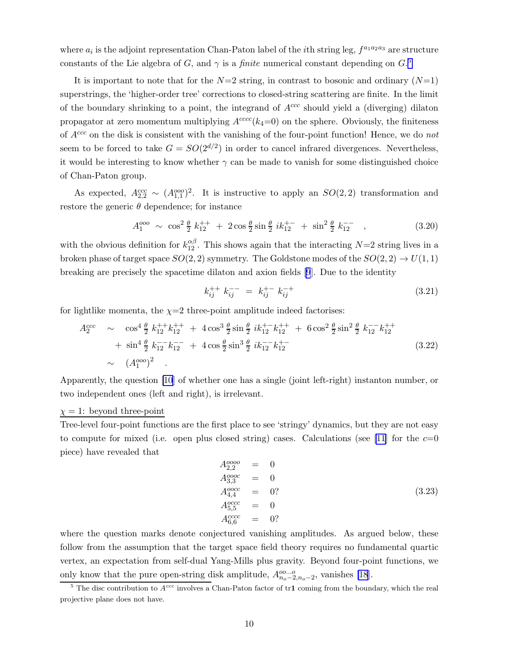<span id="page-10-0"></span>where  $a_i$  is the adjoint representation Chan-Paton label of the *i*th string leg,  $f^{a_1 a_2 a_3}$  are structure constants of the Lie algebra of G, and  $\gamma$  is a *finite* numerical constant depending on  $G$ <sup>5</sup>

It is important to note that for the  $N=2$  string, in contrast to bosonic and ordinary  $(N=1)$ superstrings, the 'higher-order tree' corrections to closed-string scattering are finite. In the limit of the boundary shrinking to a point, the integrand of  $A^{ccc}$  should yield a (diverging) dilaton propagator at zero momentum multiplying  $A^{cccc}(k_4=0)$  on the sphere. Obviously, the finiteness of  $A^{ccc}$  on the disk is consistent with the vanishing of the four-point function! Hence, we do not seem to be forced to take  $G = SO(2^{d/2})$  in order to cancel infrared divergences. Nevertheless, it would be interesting to know whether  $\gamma$  can be made to vanish for some distinguished choice of Chan-Paton group.

As expected,  $A_{2,2}^{ccc} \sim (A_{1,1}^{000})^2$ . It is instructive to apply an  $SO(2,2)$  transformation and restore the generic  $\theta$  dependence; for instance

$$
A_1^{000} \sim \cos^2 \frac{\theta}{2} k_{12}^{++} + 2 \cos \frac{\theta}{2} \sin \frac{\theta}{2} i k_{12}^{+-} + \sin^2 \frac{\theta}{2} k_{12}^{--} , \qquad (3.20)
$$

with the obvious definition for  $k_{12}^{\alpha\beta}$ . This shows again that the interacting  $N=2$  string lives in a broken phase of target space  $SO(2, 2)$  symmetry. The Goldstone modes of the  $SO(2, 2) \rightarrow U(1, 1)$ breaking are precisely the spacetime dilaton and axion fields [\[9](#page-18-0)]. Due to the identity

$$
k_{ij}^{++} k_{ij}^{--} = k_{ij}^{+-} k_{ij}^{-+}
$$
 (3.21)

for lightlike momenta, the  $\chi=2$  three-point amplitude indeed factorises:

$$
A_2^{ccc} \sim \cos^4 \frac{\theta}{2} k_{12}^{++} k_{12}^{++} + 4 \cos^3 \frac{\theta}{2} \sin \frac{\theta}{2} i k_{12}^{+-} k_{12}^{++} + 6 \cos^2 \frac{\theta}{2} \sin^2 \frac{\theta}{2} k_{12}^{--} k_{12}^{++} + \sin^4 \frac{\theta}{2} k_{12}^{--} k_{12}^{--} + 4 \cos \frac{\theta}{2} \sin^3 \frac{\theta}{2} i k_{12}^{--} k_{12}^{+-} \sim (A_1^{000})^2
$$
 (3.22)

Apparently, the question [\[10](#page-19-0)] of whether one has a single (joint left-right) instanton number, or two independent ones (left and right), is irrelevant.

#### $\chi = 1$ : beyond three-point

Tree-level four-point functions are the first place to see 'stringy' dynamics, but they are not easy to compute for mixed (i.e. open plus closed string) cases. Calculations (see [\[11](#page-19-0)] for the  $c=0$ piece) have revealed that

$$
A_{2,2}^{0000} = 0\n A_{3,3}^{0000} = 0\n A_{4,4}^{0000} = 0?\n A_{5,5}^{0000} = 0\n A_{6,6}^{000} = 0?
$$
\n(3.23)

where the question marks denote conjectured vanishing amplitudes. As argued below, these follow from the assumption that the target space field theory requires no fundamental quartic vertex, an expectation from self-dual Yang-Mills plus gravity. Beyond four-point functions, we only know that the pure open-string disk amplitude,  $A_{n_o-2,n_o-2}^{oo...o}$ , vanishes [\[18](#page-19-0)].

<sup>&</sup>lt;sup>5</sup> The disc contribution to  $A^{ccc}$  involves a Chan-Paton factor of tr1 coming from the boundary, which the real projective plane does not have.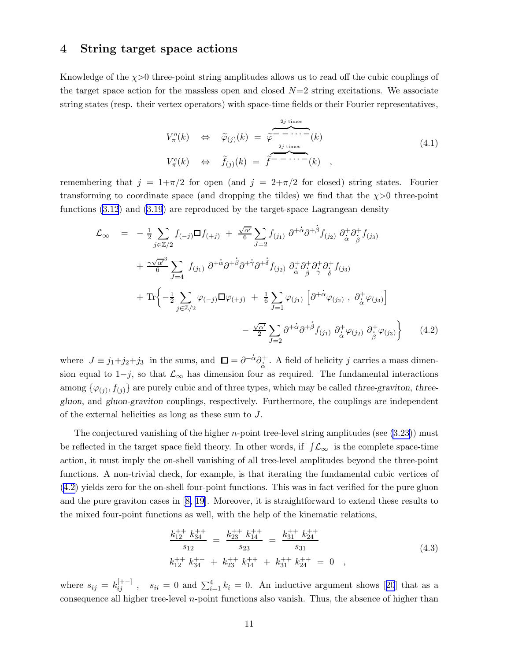### <span id="page-11-0"></span>4 String target space actions

Knowledge of the  $\chi$ >0 three-point string amplitudes allows us to read off the cubic couplings of the target space action for the massless open and closed  $N=2$  string excitations. We associate string states (resp. their vertex operators) with space-time fields or their Fourier representatives,

$$
V_{\pi}^{o}(k) \Leftrightarrow \widetilde{\varphi}_{(j)}(k) = \widetilde{\varphi} \overbrace{\cdots \cdots \overbrace{\cdots \overbrace{\cdots \overbrace{\cdots}}^{\overbrace{\cdots \overbrace{\cdots}}}}^{\overbrace{\cdots \overbrace{\cdots}}^{\overbrace{\cdots}}(k) \quad (4.1)
$$
  

$$
V_{\pi}^{c}(k) \Leftrightarrow \widetilde{f}_{(j)}(k) = \widetilde{f} \overbrace{\cdots \cdots \overbrace{\cdots}}^{\overbrace{\cdots \overbrace{\cdots}}(k) \quad ,
$$

remembering that  $j = 1+\pi/2$  for open (and  $j = 2+\pi/2$  for closed) string states. Fourier transforming to coordinate space (and dropping the tildes) we find that the  $\chi$ >0 three-point functions [\(3.12](#page-9-0)) and([3.19](#page-9-0)) are reproduced by the target-space Lagrangean density .

$$
\mathcal{L}_{\infty} = -\frac{1}{2} \sum_{j \in \mathbb{Z}/2} f_{(-j)} \Box f_{(+j)} + \frac{\sqrt{\alpha'}}{6} \sum_{J=2} f_{(j_1)} \partial^{+\dot{\alpha}} \partial^{+\dot{\beta}} f_{(j_2)} \partial^{+}_{\dot{\alpha}} \partial^{+}_{\dot{\beta}} f_{(j_3)} \n+ \frac{\gamma \sqrt{\alpha'}}{6} \sum_{J=4} f_{(j_1)} \partial^{+\dot{\alpha}} \partial^{+\dot{\beta}} \partial^{+\dot{\gamma}} \partial^{+}_{\dot{\beta}} f_{(j_2)} \partial^{+}_{\dot{\alpha}} \partial^{+}_{\dot{\beta}} \partial^{+}_{\dot{\gamma}} \partial^{+}_{\dot{\delta}} f_{(j_3)} \n+ \text{Tr} \Big\{ -\frac{1}{2} \sum_{j \in \mathbb{Z}/2} \varphi_{(-j)} \Box \varphi_{(+j)} + \frac{1}{6} \sum_{J=1} \varphi_{(j_1)} \left[ \partial^{+\dot{\alpha}} \varphi_{(j_2)} , \partial^{+}_{\dot{\alpha}} \varphi_{(j_3)} \right] \n- \frac{\sqrt{\alpha'}}{2} \sum_{J=2} \partial^{+\dot{\alpha}} \partial^{+\dot{\beta}} f_{(j_1)} \partial^{+}_{\dot{\alpha}} \varphi_{(j_2)} \partial^{+}_{\dot{\beta}} \varphi_{(j_3)} \Big\} \qquad (4.2)
$$

where  $J \equiv j_1 + j_2 + j_3$  in the sums, and  $\square = \partial^ \dot{ \alpha} \partial_{\dot{\alpha}}^{+}$  . A field of helicity  $j$  carries a mass dimension equal to  $1-j$ , so that  $\mathcal{L}_{\infty}$  has dimension four as required. The fundamental interactions among  $\{\varphi_{(j)}, f_{(j)}\}$  are purely cubic and of three types, which may be called *three-graviton*, threegluon, and gluon-graviton couplings, respectively. Furthermore, the couplings are independent of the external helicities as long as these sum to J.

The conjectured vanishing of the higher *n*-point tree-level string amplitudes (see  $(3.23)$ ) must be reflected in the target space field theory. In other words, if  $\int \mathcal{L}_{\infty}$  is the complete space-time action, it must imply the on-shell vanishing of all tree-level amplitudes beyond the three-point functions. A non-trivial check, for example, is that iterating the fundamental cubic vertices of (4.2) yields zero for the on-shell four-point functions. This was in fact verified for the pure gluon and the pure graviton cases in [\[8,](#page-18-0) [19](#page-19-0)]. Moreover, it is straightforward to extend these results to the mixed four-point functions as well, with the help of the kinematic relations,

$$
\frac{k_{12}^{++} k_{34}^{++}}{s_{12}} = \frac{k_{23}^{++} k_{14}^{++}}{s_{23}} = \frac{k_{31}^{++} k_{24}^{++}}{s_{31}}
$$
\n
$$
k_{12}^{++} k_{34}^{++} + k_{23}^{++} k_{14}^{++} + k_{31}^{++} k_{24}^{++} = 0 \quad ,
$$
\n(4.3)

where $s_{ij} = k_{ij}^{[+-]}$ ,  $s_{ii} = 0$  and  $\sum_{i=1}^{4} k_i = 0$ . An inductive argument shows [[20](#page-19-0)] that as a consequence all higher tree-level  $n$ -point functions also vanish. Thus, the absence of higher than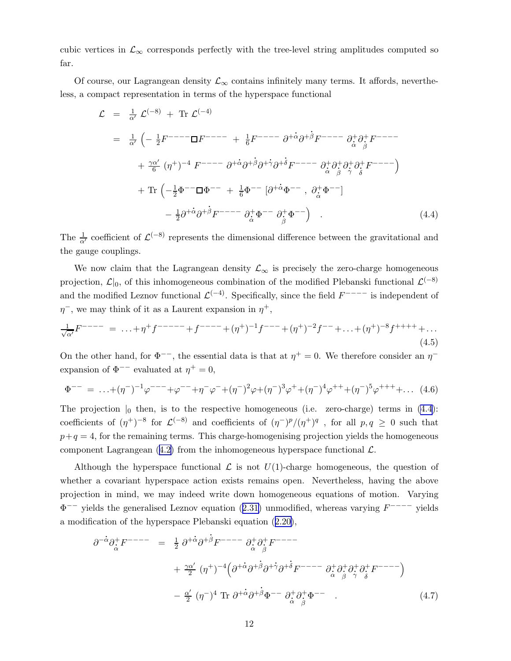<span id="page-12-0"></span>cubic vertices in  $\mathcal{L}_{\infty}$  corresponds perfectly with the tree-level string amplitudes computed so far.

Of course, our Lagrangean density  $\mathcal{L}_{\infty}$  contains infinitely many terms. It affords, nevertheless, a compact representation in terms of the hyperspace functional

$$
\mathcal{L} = \frac{1}{\alpha'} \mathcal{L}^{(-8)} + \text{Tr } \mathcal{L}^{(-4)}
$$
\n
$$
= \frac{1}{\alpha'} \left( -\frac{1}{2} F^{---} \Box F^{---} + \frac{1}{6} F^{---} \partial^{+} \dot{\alpha} \partial^{+} \dot{\beta} F^{---} - \partial^{+}_{\dot{\alpha}} \partial^{+}_{\dot{\beta}} F^{---} \right)
$$
\n
$$
+ \frac{\gamma \alpha'}{6} (\eta^{+})^{-4} F^{---} \partial^{+} \dot{\alpha} \partial^{+} \dot{\beta} \partial^{+} \dot{\gamma} \partial^{+} \dot{\delta} F^{---} - \partial^{+}_{\dot{\alpha}} \partial^{+}_{\dot{\beta}} \partial^{+}_{\dot{\gamma}} \partial^{+}_{\dot{\delta}} F^{---} \right)
$$
\n
$$
+ \text{Tr} \left( -\frac{1}{2} \Phi^{---} \Box \Phi^{---} + \frac{1}{6} \Phi^{---} \left[ \partial^{+} \dot{\alpha} \Phi^{---} , \partial^{+}_{\dot{\alpha}} \Phi^{---} \right]
$$
\n
$$
- \frac{1}{2} \partial^{+} \dot{\alpha} \partial^{+} \dot{\beta} F^{---} - \partial^{+}_{\dot{\alpha}} \Phi^{---} \partial^{+}_{\dot{\beta}} \Phi^{---} \right) . \tag{4.4}
$$

The  $\frac{1}{\alpha'}$  coefficient of  $\mathcal{L}^{(-8)}$  represents the dimensional difference between the gravitational and the gauge couplings.

We now claim that the Lagrangean density  $\mathcal{L}_{\infty}$  is precisely the zero-charge homogeneous projection,  $\mathcal{L}|_0$ , of this inhomogeneous combination of the modified Plebanski functional  $\mathcal{L}^{(-8)}$ and the modified Leznov functional  $\mathcal{L}^{(-4)}$ . Specifically, since the field  $F^{---}$  is independent of  $\eta$ <sup>-</sup>, we may think of it as a Laurent expansion in  $\eta$ <sup>+</sup>,

$$
\frac{1}{\sqrt{\alpha'}}F^{---} = \dots + \eta^+ f^{----} + f^{---} + (\eta^+)^{-1} f^{---} + (\eta^+)^{-2} f^{---} + \dots + (\eta^+)^{-8} f^{+++} + \dots
$$
\n(4.5)

On the other hand, for  $\Phi^{--}$ , the essential data is that at  $\eta^+ = 0$ . We therefore consider an  $\eta^$ expansion of  $\Phi^{--}$  evaluated at  $\eta^+ = 0$ ,

$$
\Phi^{--} = \dots + (\eta^{-})^{-1} \varphi^{---} + \varphi^{--} + \eta^{-} \varphi^{-} + (\eta^{-})^{2} \varphi + (\eta^{-})^{3} \varphi^{+} + (\eta^{-})^{4} \varphi^{++} + (\eta^{-})^{5} \varphi^{+++} + \dots \tag{4.6}
$$

The projection  $\vert_0$  then, is to the respective homogeneous (i.e. zero-charge) terms in (4.4): coefficients of  $(\eta^+)^{-8}$  for  $\mathcal{L}^{(-8)}$  and coefficients of  $(\eta^-)^p/(\eta^+)^q$ , for all  $p, q \ge 0$  such that  $p+q = 4$ , for the remaining terms. This charge-homogenising projection yields the homogeneous componentLagrangean  $(4.2)$  $(4.2)$  from the inhomogeneous hyperspace functional  $\mathcal{L}$ .

Although the hyperspace functional  $\mathcal L$  is not  $U(1)$ -charge homogeneous, the question of whether a covariant hyperspace action exists remains open. Nevertheless, having the above projection in mind, we may indeed write down homogeneous equations of motion. Varying Φ −− yields the generalised Leznov equation([2.31\)](#page-5-0) unmodified, whereas varying F −−−− yields a modification of the hyperspace Plebanski equation([2.20\)](#page-4-0), . . .

$$
\partial^{-\alpha}\partial_{\dot{\alpha}}^{+}F^{---} = \frac{1}{2}\partial^{+\dot{\alpha}}\partial^{+\dot{\beta}}F^{---} \partial_{\dot{\alpha}}^{+}\partial_{\beta}^{+}F^{---}
$$

$$
+ \frac{\gamma\alpha'}{2}(\eta^{+})^{-4}\Big(\partial^{+\dot{\alpha}}\partial^{+\dot{\beta}}\partial^{+\dot{\gamma}}\partial^{+\dot{\delta}}F^{---} \partial_{\dot{\alpha}}^{+}\partial_{\beta}^{+}\partial_{\dot{\gamma}}^{+}\partial_{\dot{\delta}}^{+}F^{---}\Big)
$$

$$
- \frac{\alpha'}{2}(\eta^{-})^{4} \operatorname{Tr} \partial^{+\dot{\alpha}}\partial^{+\dot{\beta}}\Phi^{---} \partial_{\dot{\alpha}}^{+}\partial_{\beta}^{+}\Phi^{---} \qquad (4.7)
$$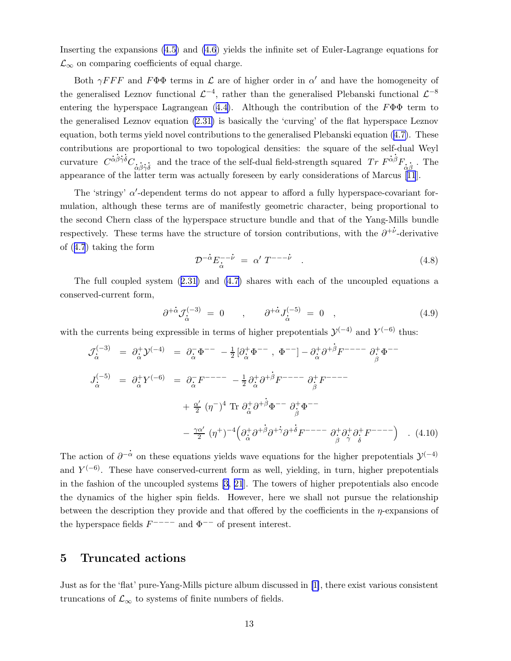Inserting the expansions [\(4.5\)](#page-12-0) and [\(4.6](#page-12-0)) yields the infinite set of Euler-Lagrange equations for  $\mathcal{L}_{\infty}$  on comparing coefficients of equal charge.

Both  $\gamma F F F$  and  $F \Phi \Phi$  terms in  $\mathcal L$  are of higher order in  $\alpha'$  and have the homogeneity of the generalised Leznov functional  $\mathcal{L}^{-4}$ , rather than the generalised Plebanski functional  $\mathcal{L}^{-8}$ enteringthe hyperspace Lagrangean  $(4.4)$  $(4.4)$ . Although the contribution of the  $F\Phi\Phi$  term to the generalised Leznov equation [\(2.31\)](#page-5-0) is basically the 'curving' of the flat hyperspace Leznov equation, both terms yield novel contributions to the generalised Plebanski equation([4.7\)](#page-12-0). These contributions are proportional to two topological densities: the square of the self-dual Weyl . . . . . . curvature  $\overrightarrow{C}^{\dot{\alpha}\dot{\beta}\dot{\gamma}\dot{\delta}}C_{\dot{\alpha}}$ .<br>.  $\dot{\vec{\beta}}$ .<br>. and the trace of the self-dual field-strength squared  $Tr F^{\dot{\alpha}\dot{\beta}}F_{\dot{\alpha}}$ .  $\frac{1}{\beta}$ . The appearanceof the latter term was actually foreseen by early considerations of Marcus  $[11]$  $[11]$  $[11]$ .

The 'stringy'  $\alpha'$ -dependent terms do not appear to afford a fully hyperspace-covariant formulation, although these terms are of manifestly geometric character, being proportional to the second Chern class of the hyperspace structure bundle and that of the Yang-Mills bundle . respectively. These terms have the structure of torsion contributions, with the  $\partial^{+\nu}$ -derivative of([4.7](#page-12-0)) taking the form . . .

$$
\mathcal{D}^{-\dot{\alpha}} E_{\dot{\alpha}}^{-\dot{\nu}} = \alpha' T^{-\dot{\nu}} \quad . \tag{4.8}
$$

The full coupled system([2.31\)](#page-5-0) and [\(4.7](#page-12-0)) shares with each of the uncoupled equations a conserved-current form, . .

$$
\partial^{+\dot{\alpha}} J_{\dot{\alpha}}^{(-3)} = 0 \qquad , \qquad \partial^{+\dot{\alpha}} J_{\dot{\alpha}}^{(-5)} = 0 \quad , \tag{4.9}
$$

with the currents being expressible in terms of higher prepotentials  $\mathcal{Y}^{(-4)}$  and  $Y^{(-6)}$  thus:

$$
\mathcal{J}_{\dot{\alpha}}^{(-3)} = \partial_{\dot{\alpha}}^{+} \mathcal{Y}^{(-4)} = \partial_{\dot{\alpha}}^{-} \Phi^{-} - \frac{1}{2} [\partial_{\dot{\alpha}}^{+} \Phi^{-} , \ \Phi^{-} ] - \partial_{\dot{\alpha}}^{+} \partial^{+} \dot{\beta} F^{-} - \partial_{\dot{\beta}}^{+} \Phi^{-} \n\nJ_{\dot{\alpha}}^{(-5)} = \partial_{\dot{\alpha}}^{+} Y^{(-6)} = \partial_{\dot{\alpha}}^{-} F^{-} - \partial_{\dot{\alpha}}^{+} \partial^{+} \dot{\beta} F^{-} - \partial_{\dot{\beta}}^{+} F^{-} - \partial_{\dot{\beta}}^{+} F^{-} - \n\n+ \frac{\alpha'}{2} (\eta^{-})^{4} \text{ Tr } \partial_{\dot{\alpha}}^{+} \partial^{+} \dot{\beta} \Phi^{-} - \partial_{\dot{\beta}}^{+} \Phi^{-} \n\n- \frac{\gamma \alpha'}{2} (\eta^{+})^{-4} (\partial_{\dot{\alpha}}^{+} \partial^{+} \dot{\beta} \partial^{+} \dot{\gamma} \partial^{+} \dot{\delta} F^{-} - \partial_{\dot{\beta}}^{+} \partial_{\dot{\gamma}}^{+} \partial_{\dot{\delta}}^{+} F^{-} - \n\n(4.10)
$$

The action of  $\partial^ \alpha$  on these equations yields wave equations for the higher prepotentials  $\mathcal{Y}^{(-4)}$ and  $Y^{(-6)}$ . These have conserved-current form as well, yielding, in turn, higher prepotentials in the fashion of the uncoupled systems [\[3,](#page-18-0) [21](#page-19-0)]. The towers of higher prepotentials also encode the dynamics of the higher spin fields. However, here we shall not pursue the relationship between the description they provide and that offered by the coefficients in the  $\eta$ -expansions of the hyperspace fields  $F^{---}$  and  $\Phi^{--}$  of present interest.

### 5 Truncated actions

Just as for the 'flat' pure-Yang-Mills picture album discussed in [\[1\]](#page-18-0), there exist various consistent truncations of  $\mathcal{L}_{\infty}$  to systems of finite numbers of fields.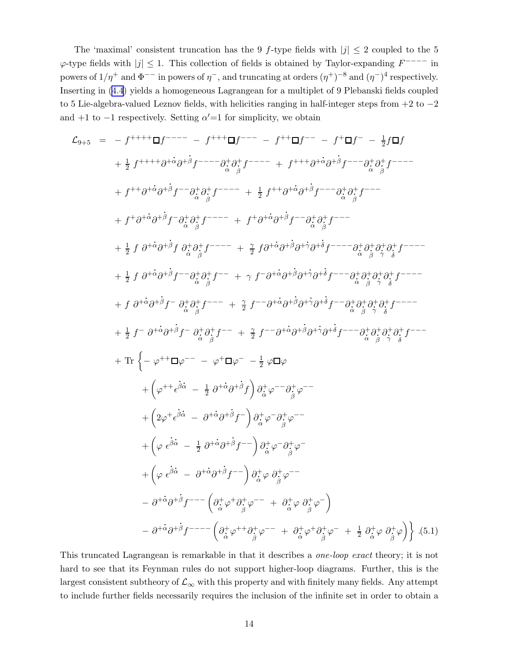The 'maximal' consistent truncation has the 9 f-type fields with  $|j| \leq 2$  coupled to the 5  $\varphi$ -type fields with  $|j| \leq 1$ . This collection of fields is obtained by Taylor-expanding  $F^{---}$  in powers of  $1/\eta^+$  and  $\Phi^{--}$  in powers of  $\eta^-$ , and truncating at orders  $(\eta^+)^{-8}$  and  $(\eta^-)^4$  respectively. Inserting in [\(4.4\)](#page-12-0) yields a homogeneous Lagrangean for a multiplet of 9 Plebanski fields coupled to 5 Lie-algebra-valued Leznov fields, with helicities ranging in half-integer steps from +2 to −2 and  $+1$  to  $-1$  respectively. Setting  $\alpha' = 1$  for simplicity, we obtain

$$
\mathcal{L}_{9+5} = f^{+++} \Box f^{---} - f^{++} \Box f^{---} - f^{++} \Box f^{---} - f^{+} \Box f^{-} - f^{+} \Box f^{-} - \frac{1}{2} f \Box f
$$
\n
$$
+ \frac{1}{2} f^{+++} \partial^{+} \partial^{+} \partial^{+} f^{---} \partial^{+}_{\alpha} \partial^{+}_{\beta} f^{---} + f^{++} \partial^{+} \partial^{+} \partial^{+} f^{---} \partial^{+}_{\alpha} \partial^{+}_{\beta} f^{---}
$$
\n
$$
+ f^{++} \partial^{+} \partial^{+} \partial^{+} f^{-} \partial^{+}_{\alpha} \partial^{+}_{\beta} f^{---} + \frac{1}{2} f^{++} \partial^{+} \partial^{+} \partial^{+} f^{---} \partial^{+}_{\alpha} \partial^{+}_{\beta} f^{---}
$$
\n
$$
+ f^{+} \partial^{+} \partial^{+} \partial^{+} f^{-} \partial^{+}_{\alpha} \partial^{+}_{\beta} f^{---} + f^{+} \partial^{+} \partial^{+} \partial^{+} f^{-} \partial^{+} \partial^{+} f^{---}
$$
\n
$$
+ \frac{1}{2} f \partial^{+} \partial^{+} \partial^{+} f^{-} \partial^{+}_{\alpha} \partial^{+}_{\beta} f^{---} + \frac{1}{2} f \partial^{+} \partial^{+} \partial^{+} f^{-} - f^{+} \partial^{+} \partial^{+} \partial^{+} \partial^{+} f^{-} \partial^{+} \partial^{+} \partial^{+} f^{+} \partial^{+} f^{---}
$$
\n
$$
+ f \partial^{+} \partial^{+} \partial^{+} f^{-} - \partial^{+} \partial^{+} \partial^{+} f^{-} - f^{+} \partial^{+} \partial^{+} \partial^{+} \partial^{+} f^{-} \partial^{+} \partial^{+} \partial^{+} f^{+} \partial^{+} f^{---}
$$
\n
$$
+ f \partial^{+} \partial^{+} \partial^{+} f^{-} - \partial^{+} \partial^{+} \partial^{+} f^{-} - f^{+} \partial^{+} \partial^{+} f^{+} \partial^{+} f^{+} - f^{---} \partial^{+} \partial^{+} \partial^{+} f^{+} \partial^{+} f^{---}
$$
\n
$$
+ \frac{1}{2} f^{-} \partial^{+} \partial^{+} \partial^{+} f
$$

This truncated Lagrangean is remarkable in that it describes a one-loop exact theory; it is not hard to see that its Feynman rules do not support higher-loop diagrams. Further, this is the largest consistent subtheory of  $\mathcal{L}_{\infty}$  with this property and with finitely many fields. Any attempt to include further fields necessarily requires the inclusion of the infinite set in order to obtain a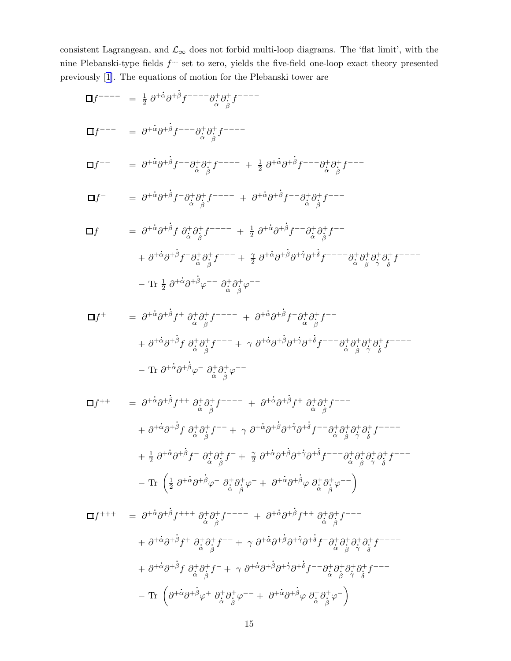<span id="page-15-0"></span>consistent Lagrangean, and  $\mathcal{L}_{\infty}$  does not forbid multi-loop diagrams. The 'flat limit', with the nine Plebanski-type fields  $f^{\dots}$  set to zero, yields the five-field one-loop exact theory presented previously [\[1\]](#page-18-0). The equations of motion for the Plebanski tower are<br>  $\cdot$ 

$$
\Box f^{---} = \frac{1}{2} \partial^{+\dot{\alpha}} \partial^{+\dot{\beta}} f^{---} \partial_{\dot{\alpha}}^{+} \partial_{\dot{\beta}}^{+} f^{---}
$$
\n
$$
\Box f^{---} = \partial^{+\dot{\alpha}} \partial^{+\dot{\beta}} f^{---} \partial_{\dot{\alpha}}^{+} \partial_{\dot{\beta}}^{+} f^{---}
$$
\n
$$
\Box f^{-} = \partial^{+\dot{\alpha}} \partial^{+\dot{\beta}} f^{-} \partial_{\dot{\alpha}}^{+} \partial_{\dot{\beta}}^{+} f^{---} + \frac{1}{2} \partial^{+\dot{\alpha}} \partial^{+\dot{\beta}} f^{---} \partial_{\dot{\alpha}}^{+} \partial_{\dot{\beta}}^{+} f^{---}
$$
\n
$$
\Box f = \partial^{+\dot{\alpha}} \partial^{+\dot{\beta}} f^{-} \partial_{\dot{\alpha}}^{+} \partial_{\dot{\beta}}^{+} f^{---} + \partial^{+\dot{\alpha}} \partial^{+\dot{\beta}} f^{-} \partial_{\dot{\alpha}}^{+} \partial_{\dot{\beta}}^{+} f^{---}
$$
\n
$$
\Box f = \partial^{+\dot{\alpha}} \partial^{+\dot{\beta}} f \partial_{\dot{\alpha}}^{+} \partial_{\dot{\beta}}^{+} f^{---} + \frac{1}{2} \partial^{+\dot{\alpha}} \partial^{+\dot{\beta}} f^{-} \partial_{\dot{\alpha}}^{+} \partial_{\dot{\beta}}^{+} f^{---}
$$
\n
$$
+ \partial^{+\dot{\alpha}} \partial^{+\dot{\beta}} f^{-} \partial_{\dot{\alpha}}^{+} \partial_{\dot{\beta}}^{+} f^{---} + \frac{\gamma}{2} \partial^{+\dot{\alpha}} \partial^{+\dot{\beta}} \partial^{+\dot{\gamma}} \partial^{+\dot{\gamma}} f^{---} \partial_{\dot{\alpha}}^{+} \partial_{\dot{\beta}}^{+} \partial_{\dot{\gamma}}^{+} f^{---}
$$
\n
$$
- \text{Tr} \frac{1}{2} \partial^{+\dot{\alpha}} \partial^{+\dot{\beta}} \phi^{---} \partial_{\dot{\alpha}}^{+} \partial_{\dot{\beta}}^{+} \phi^{---}
$$

$$
\Box f^{+} = \partial^{+}\dot{\alpha}\partial^{+}\dot{\beta}f^{+} \partial_{\dot{\alpha}}^{+}\partial_{\dot{\beta}}^{+}f^{---} + \partial^{+}\dot{\alpha}\partial^{+}\dot{\beta}f^{-} \partial_{\dot{\alpha}}^{+}\partial_{\dot{\beta}}^{+}f^{---} \n+ \partial^{+}\dot{\alpha}\partial^{+}\beta f \partial_{\dot{\alpha}}^{+}\partial_{\dot{\beta}}^{+}f^{---} + \gamma \partial^{+}\dot{\alpha}\partial^{+}\beta\partial^{+}\dot{\gamma}\partial^{+}\dot{\delta}f^{---} - \partial_{\dot{\alpha}}^{+}\partial_{\dot{\beta}}^{+}\partial_{\dot{\gamma}}^{+}\partial_{\dot{\delta}}^{+}f^{---} \n- \text{Tr } \partial^{+}\dot{\alpha}\partial^{+}\beta\varphi^{-} \partial_{\dot{\alpha}}^{+}\partial_{\dot{\beta}}^{+}\varphi^{-} \qquad \qquad
$$

$$
\Box f^{++} = \partial^{+\dot{\alpha}} \partial^{+\dot{\beta}} f^{++} \partial^+_{\dot{\alpha}} \partial^+_{\dot{\beta}} f^{---} + \partial^{+\dot{\alpha}} \partial^{+\dot{\beta}} f^{+} \partial^+_{\dot{\alpha}} \partial^+_{\dot{\beta}} f^{---}
$$
  
+  $\partial^{+\dot{\alpha}} \partial^{+\dot{\beta}} f \partial^+_{\dot{\alpha}} \partial^+_{\dot{\beta}} f^{---} + \gamma \partial^{+\dot{\alpha}} \partial^{+\dot{\beta}} \partial^{+\dot{\gamma}} \partial^{+\dot{\gamma}} f^{---} \partial^+_{\dot{\alpha}} \partial^+_{\dot{\beta}} \partial^+_{\dot{\gamma}} \partial^+_{\dot{\gamma}} f^{---}$   
+  $\frac{1}{2} \partial^{+\dot{\alpha}} \partial^{+\dot{\beta}} f^{-} \partial^+_{\dot{\alpha}} \partial^+_{\dot{\beta}} f^{--} + \frac{\gamma}{2} \partial^{+\dot{\alpha}} \partial^{+\dot{\beta}} \partial^{+\dot{\gamma}} \partial^{+\dot{\delta}} f^{---} \partial^+_{\dot{\alpha}} \partial^+_{\dot{\beta}} \partial^+_{\dot{\gamma}} \partial^+_{\dot{\beta}} f^{---}$   
- Tr  $\left( \frac{1}{2} \partial^{+\dot{\alpha}} \partial^{+\dot{\beta}} \varphi^{-} \partial^+_{\dot{\alpha}} \partial^+_{\dot{\beta}} \varphi^{-} + \partial^{+\dot{\alpha}} \partial^{+\dot{\beta}} \varphi \partial^+_{\dot{\alpha}} \partial^+_{\dot{\beta}} \varphi^{---} \right)$ 

$$
\Box f^{+++} = \partial^{+\dot{\alpha}} \partial^{+\dot{\beta}} f^{+++} \partial_{\dot{\alpha}}^{+} \partial_{\dot{\beta}}^{+} f^{---} + \partial^{+\dot{\alpha}} \partial^{+\dot{\beta}} f^{++} \partial_{\dot{\alpha}}^{+} \partial_{\dot{\beta}}^{+} f^{---}
$$
  
+  $\partial^{+\dot{\alpha}} \partial^{+\dot{\beta}} f^{+} \partial_{\dot{\alpha}}^{+} \partial_{\dot{\beta}}^{+} f^{---} + \gamma \partial^{+\dot{\alpha}} \partial^{+\dot{\beta}} \partial^{+\dot{\gamma}} \partial^{+\dot{\alpha}} f^{-} \partial_{\dot{\alpha}}^{+} \partial_{\dot{\beta}}^{+} \partial_{\dot{\gamma}}^{+} \partial_{\dot{\alpha}}^{+} f^{---}$   
+  $\partial^{+\dot{\alpha}} \partial^{+\dot{\beta}} f \partial_{\dot{\alpha}}^{+} \partial_{\dot{\beta}}^{+} f^{-} + \gamma \partial^{+\dot{\alpha}} \partial^{+\dot{\beta}} \partial^{+\dot{\gamma}} \partial^{+\dot{\alpha}} f^{-} \partial_{\dot{\alpha}}^{+} \partial_{\dot{\beta}}^{+} \partial_{\dot{\gamma}}^{+} \partial_{\dot{\alpha}}^{+} f^{---}$   
- Tr  $\left( \partial^{+\dot{\alpha}} \partial^{+\dot{\beta}} \varphi^{+} \partial_{\dot{\alpha}}^{+} \partial_{\dot{\beta}}^{+} \varphi^{---} + \partial^{+\dot{\alpha}} \partial^{+\dot{\beta}} \varphi \partial_{\dot{\alpha}}^{+} \partial_{\dot{\beta}}^{+} \varphi^{-} \right)$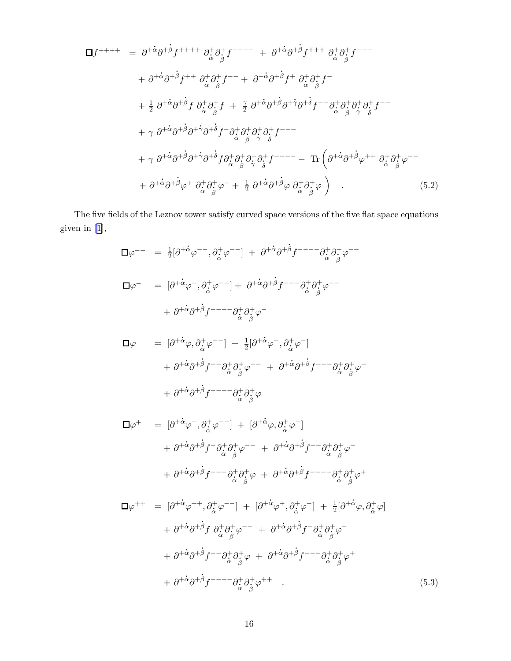<span id="page-16-0"></span>
$$
\Box f^{++++} = \partial^{+\dot{\alpha}} \partial^{+\dot{\beta}} f^{++++} \partial_{\dot{\alpha}}^{+\dot{\alpha}} \partial_{\dot{\beta}}^{+\dot{\beta}} f^{---} + \partial^{+\dot{\alpha}} \partial^{+\dot{\beta}} f^{+++} \partial_{\dot{\alpha}}^{+\dot{\beta}} f^{---}
$$
  
+  $\partial^{+\dot{\alpha}} \partial^{+\dot{\beta}} f^{++} \partial_{\dot{\alpha}}^{+\dot{\alpha}} \partial_{\dot{\beta}}^{+\dot{\beta}} f^{---} + \partial^{+\dot{\alpha}} \partial^{+\dot{\beta}} f^{+} \partial_{\dot{\alpha}}^{+\dot{\alpha}} \partial_{\dot{\beta}}^{+\dot{\beta}} f^{---}$   
+  $\frac{1}{2} \partial^{+\dot{\alpha}} \partial^{+\dot{\beta}} f \partial_{\dot{\alpha}}^{+\dot{\alpha}} \partial_{\dot{\beta}}^{+\dot{\beta}} f + \frac{1}{2} \partial^{+\dot{\alpha}} \partial^{+\dot{\beta}} \partial^{+\dot{\gamma}} \partial^{+\dot{\alpha}} f^{---} \partial_{\dot{\alpha}}^{+\dot{\alpha}} \partial_{\dot{\beta}}^{+\dot{\alpha}} \partial_{\dot{\beta}}^{+\dot{\alpha}} f^{---}$   
+  $\gamma \partial^{+\dot{\alpha}} \partial^{+\dot{\beta}} \partial^{+\dot{\gamma}} \partial^{+\dot{\delta}} f \partial_{\dot{\alpha}}^{+\dot{\alpha}} \partial_{\dot{\beta}}^{+\dot{\alpha}} \partial_{\dot{\beta}}^{+\dot{\alpha}} f^{---}$   
+  $\gamma \partial^{+\dot{\alpha}} \partial^{+\dot{\beta}} \partial^{+\dot{\gamma}} \partial^{+\dot{\delta}} f \partial_{\dot{\alpha}}^{+\dot{\alpha}} \partial_{\dot{\beta}}^{+\dot{\alpha}} \partial_{\dot{\beta}}^{+\dot{\alpha}} f^{---}$   
+  $\partial^{+\dot{\alpha}} \partial^{+\dot{\beta}} \partial^{+\dot{\beta}} \partial^{+\dot{\alpha}} f^{+} \partial_{\dot{\alpha}}^{+\dot{\alpha}} \partial_{\dot{\beta}}^{+\dot{\beta}} \partial_{\dot{\beta}}^{+-} + \frac{1}{2} \partial^{+\dot{\alpha}} \partial^{+\dot{\beta}} \partial^{+\dot{\beta}} \partial_{\dot{\alpha}}^{+\dot{\beta}} \partial_{\dot{\beta}}^{+\dot{\beta}} \partial_{\dot{\alpha}}^{+\dot{\beta}} \partial_{\dot{\beta}}^{+\dot{\beta}} (5.2)$ 

The five fields of the Leznov tower satisfy curved space versions of the five flat space equations given in [\[1\]](#page-18-0), .

ϕ −− = 1 2 [∂ + . αϕ −−, ∂<sup>+</sup>. α ϕ −−] + ∂ + . α ∂ + β f −−−−∂ +. α ∂ +. β ϕ −− ϕ − = [∂ + . αϕ <sup>−</sup>, ∂<sup>+</sup>. α ϕ −−] + ∂ + . α ∂ + . β f −−−∂ +. α ∂ +. β ϕ −− + ∂ + . α ∂ + . β f −−−−∂ +. α ∂ +. β ϕ −

$$
\begin{array}{lll}\n\Box \varphi & = & [\partial^{+\dot{\alpha}} \varphi, \partial^+_{\dot{\alpha}} \varphi^{-}]} + \frac{1}{2} [\partial^{+\dot{\alpha}} \varphi^{-}, \partial^+_{\dot{\alpha}} \varphi^{-}] \\
& + & \partial^{+\dot{\alpha}} \partial^{+\dot{\beta}} f^{-} - \partial^+_{\dot{\alpha}} \partial^+_{\dot{\beta}} \varphi^{-} + \partial^{+\dot{\alpha}} \partial^{+\dot{\beta}} f^{-} - \partial^+_{\dot{\alpha}} \partial^+_{\dot{\beta}} \varphi^{-} \\
& + & \partial^{+\dot{\alpha}} \partial^{+\dot{\beta}} f^{-} - \partial^+_{\dot{\alpha}} \partial^+_{\dot{\beta}} \varphi\n\end{array}
$$

$$
\Box \varphi^{+} = [\partial^{+} \dot{\alpha} \varphi^{+}, \partial_{\dot{\alpha}}^{+} \varphi^{-}] + [\partial^{+} \dot{\alpha} \varphi, \partial_{\dot{\alpha}}^{+} \varphi^{-}] \n+ \partial^{+} \dot{\alpha} \partial^{+} \beta f^{-} \partial_{\dot{\alpha}}^{+} \partial_{\dot{\beta}}^{+} \varphi^{-} + \partial^{+} \dot{\alpha} \partial^{+} \beta f^{-} \partial_{\dot{\alpha}}^{+} \partial_{\dot{\beta}}^{+} \varphi^{-} \n+ \partial^{+} \dot{\alpha} \partial^{+} \beta f^{-} - \partial_{\dot{\alpha}}^{+} \partial_{\dot{\beta}}^{+} \varphi + \partial^{+} \dot{\alpha} \partial^{+} \dot{\beta} f^{-} - \partial_{\dot{\alpha}}^{+} \partial_{\dot{\beta}}^{+} \varphi^{+}
$$

$$
\Box \varphi^{++} = [\partial^{+\dot{\alpha}} \varphi^{++}, \partial_{\dot{\alpha}}^{+} \varphi^{--}] + [\partial^{+\dot{\alpha}} \varphi^{+}, \partial_{\dot{\alpha}}^{+} \varphi^{-}] + \frac{1}{2} [\partial^{+\dot{\alpha}} \varphi, \partial_{\dot{\alpha}}^{+} \varphi] + \partial^{+\dot{\alpha}} \partial^{+\dot{\beta}} f \partial_{\dot{\alpha}}^{+} \partial_{\dot{\beta}}^{+} \varphi^{-} + \partial^{+\dot{\alpha}} \partial^{+\dot{\beta}} f^{-} \partial_{\dot{\alpha}}^{+} \partial_{\dot{\beta}}^{+} \varphi^{-} + \partial^{+\dot{\alpha}} \partial^{+\dot{\beta}} f^{-} \partial_{\dot{\alpha}}^{+} \partial_{\dot{\beta}}^{+} \varphi + \partial^{+\dot{\alpha}} \partial^{+\dot{\beta}} f^{-} \partial_{\dot{\alpha}}^{+} \partial_{\dot{\beta}}^{+} \varphi^{+} + \partial^{+\dot{\alpha}} \partial^{+\dot{\beta}} f^{-} \partial_{\dot{\alpha}}^{+} \partial_{\dot{\beta}}^{+} \varphi^{++}
$$
\n(5.3)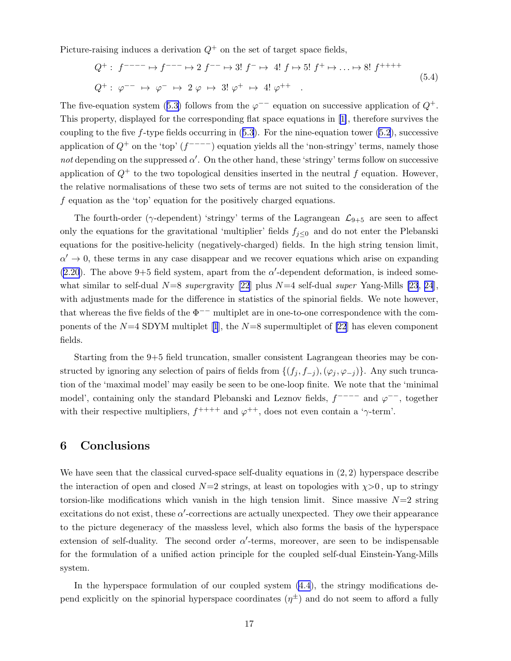Picture-raising induces a derivation  $Q^+$  on the set of target space fields,

$$
Q^{+}: f^{---} \mapsto f^{---} \mapsto 2 f^{-} \mapsto 3! f^{-} \mapsto 4! f \mapsto 5! f^{+} \mapsto \dots \mapsto 8! f^{+++}
$$
  

$$
Q^{+}: \varphi^{-} \mapsto \varphi^{-} \mapsto 2 \varphi \mapsto 3! \varphi^{+} \mapsto 4! \varphi^{++} . \tag{5.4}
$$

Thefive-equation system ([5.3\)](#page-16-0) follows from the  $\varphi$ <sup>--</sup> equation on successive application of  $Q^+$ . This property, displayed for the corresponding flat space equations in [\[1\]](#page-18-0), therefore survives the couplingto the five  $f$ -type fields occurring in  $(5.3)$  $(5.3)$  $(5.3)$ . For the nine-equation tower  $(5.2)$  $(5.2)$ , successive application of  $Q^+$  on the 'top'  $(f^{---})$  equation yields all the 'non-stringy' terms, namely those not depending on the suppressed  $\alpha'$ . On the other hand, these 'stringy' terms follow on successive application of  $Q^+$  to the two topological densities inserted in the neutral f equation. However, the relative normalisations of these two sets of terms are not suited to the consideration of the f equation as the 'top' equation for the positively charged equations.

The fourth-order ( $\gamma$ -dependent) 'stringy' terms of the Lagrangean  $\mathcal{L}_{9+5}$  are seen to affect only the equations for the gravitational 'multiplier' fields  $f_{j\leq 0}$  and do not enter the Plebanski equations for the positive-helicity (negatively-charged) fields. In the high string tension limit,  $\alpha' \to 0$ , these terms in any case disappear and we recover equations which arise on expanding  $(2.20)$  $(2.20)$ . The above 9+5 field system, apart from the  $\alpha'$ -dependent deformation, is indeed somewhat similar to self-dual  $N=8$  supergravity [\[22](#page-19-0)] plus  $N=4$  self-dual super Yang-Mills [\[23](#page-19-0), [24](#page-19-0)], with adjustments made for the difference in statistics of the spinorial fields. We note however, that whereas the five fields of the  $\Phi^{--}$  multiplet are in one-to-one correspondence with the componentsof the  $N=4$  SDYM multiplet [[1](#page-18-0)], the  $N=8$  supermultiplet of [\[22](#page-19-0)] has eleven component fields.

Starting from the 9+5 field truncation, smaller consistent Lagrangean theories may be constructed by ignoring any selection of pairs of fields from  $\{(f_j, f_{-j}),(\varphi_j, \varphi_{-j})\}$ . Any such truncation of the 'maximal model' may easily be seen to be one-loop finite. We note that the 'minimal model', containing only the standard Plebanski and Leznov fields,  $f^{---}$  and  $\varphi^{-}$ , together with their respective multipliers,  $f^{++++}$  and  $\varphi^{++}$ , does not even contain a 'γ-term'.

# 6 Conclusions

We have seen that the classical curved-space self-duality equations in  $(2, 2)$  hyperspace describe the interaction of open and closed  $N=2$  strings, at least on topologies with  $\chi > 0$ , up to stringy torsion-like modifications which vanish in the high tension limit. Since massive  $N=2$  string excitations do not exist, these  $\alpha'$ -corrections are actually unexpected. They owe their appearance to the picture degeneracy of the massless level, which also forms the basis of the hyperspace extension of self-duality. The second order  $\alpha'$ -terms, moreover, are seen to be indispensable for the formulation of a unified action principle for the coupled self-dual Einstein-Yang-Mills system.

In the hyperspace formulation of our coupled system [\(4.4](#page-12-0)), the stringy modifications depend explicitly on the spinorial hyperspace coordinates  $(\eta^{\pm})$  and do not seem to afford a fully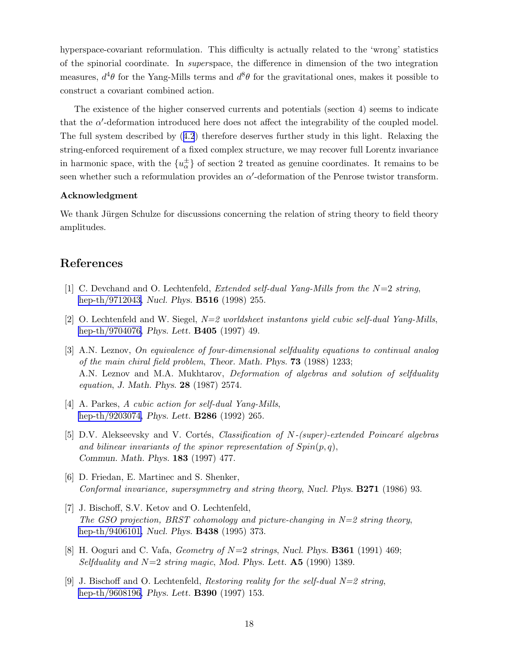<span id="page-18-0"></span>hyperspace-covariant reformulation. This difficulty is actually related to the 'wrong' statistics of the spinorial coordinate. In *superspace*, the difference in dimension of the two integration measures,  $d^4\theta$  for the Yang-Mills terms and  $d^8\theta$  for the gravitational ones, makes it possible to construct a covariant combined action.

The existence of the higher conserved currents and potentials (section 4) seems to indicate that the  $\alpha'$ -deformation introduced here does not affect the integrability of the coupled model. The full system described by([4.2](#page-11-0)) therefore deserves further study in this light. Relaxing the string-enforced requirement of a fixed complex structure, we may recover full Lorentz invariance in harmonic space, with the  $\{u_{\alpha}^{\pm}\}\$  of section 2 treated as genuine coordinates. It remains to be seen whether such a reformulation provides an  $\alpha'$ -deformation of the Penrose twistor transform.

#### Acknowledgment

We thank Jürgen Schulze for discussions concerning the relation of string theory to field theory amplitudes.

## References

- [1] C. Devchand and O. Lechtenfeld, *Extended self-dual Yang-Mills from the*  $N=2$  string, [hep-th/9712043,](http://arxiv.org/abs/hep-th/9712043) Nucl. Phys. **B516** (1998) 255.
- [2] O. Lechtenfeld and W. Siegel,  $N=2$  worldsheet instantons yield cubic self-dual Yang-Mills, [hep-th/9704076,](http://arxiv.org/abs/hep-th/9704076) *Phys. Lett.* **B405** (1997) 49.
- [3] A.N. Leznov, On equivalence of four-dimensional selfduality equations to continual analog of the main chiral field problem, Theor. Math. Phys. 73 (1988) 1233; A.N. Leznov and M.A. Mukhtarov, Deformation of algebras and solution of selfduality equation, J. Math. Phys. 28 (1987) 2574.
- [4] A. Parkes, A cubic action for self-dual Yang-Mills, [hep-th/9203074,](http://arxiv.org/abs/hep-th/9203074) *Phys. Lett.* **B286** (1992) 265.
- [5] D.V. Alekseevsky and V. Cortés, Classification of N-(super)-extended Poincaré algebras and bilinear invariants of the spinor representation of  $Spin(p, q)$ , Commun. Math. Phys. 183 (1997) 477.
- [6] D. Friedan, E. Martinec and S. Shenker, Conformal invariance, supersymmetry and string theory, Nucl. Phys. B271 (1986) 93.
- [7] J. Bischoff, S.V. Ketov and O. Lechtenfeld, The GSO projection, BRST cohomology and picture-changing in  $N=2$  string theory, [hep-th/9406101,](http://arxiv.org/abs/hep-th/9406101) Nucl. Phys. B438 (1995) 373.
- [8] H. Ooguri and C. Vafa, *Geometry of*  $N=2$  *strings*, Nucl. Phys. **B361** (1991) 469; Selfduality and  $N=2$  string magic, Mod. Phys. Lett. **A5** (1990) 1389.
- [9] J. Bischoff and O. Lechtenfeld, Restoring reality for the self-dual  $N=2$  string, [hep-th/9608196,](http://arxiv.org/abs/hep-th/9608196) *Phys. Lett.* **B390** (1997) 153.